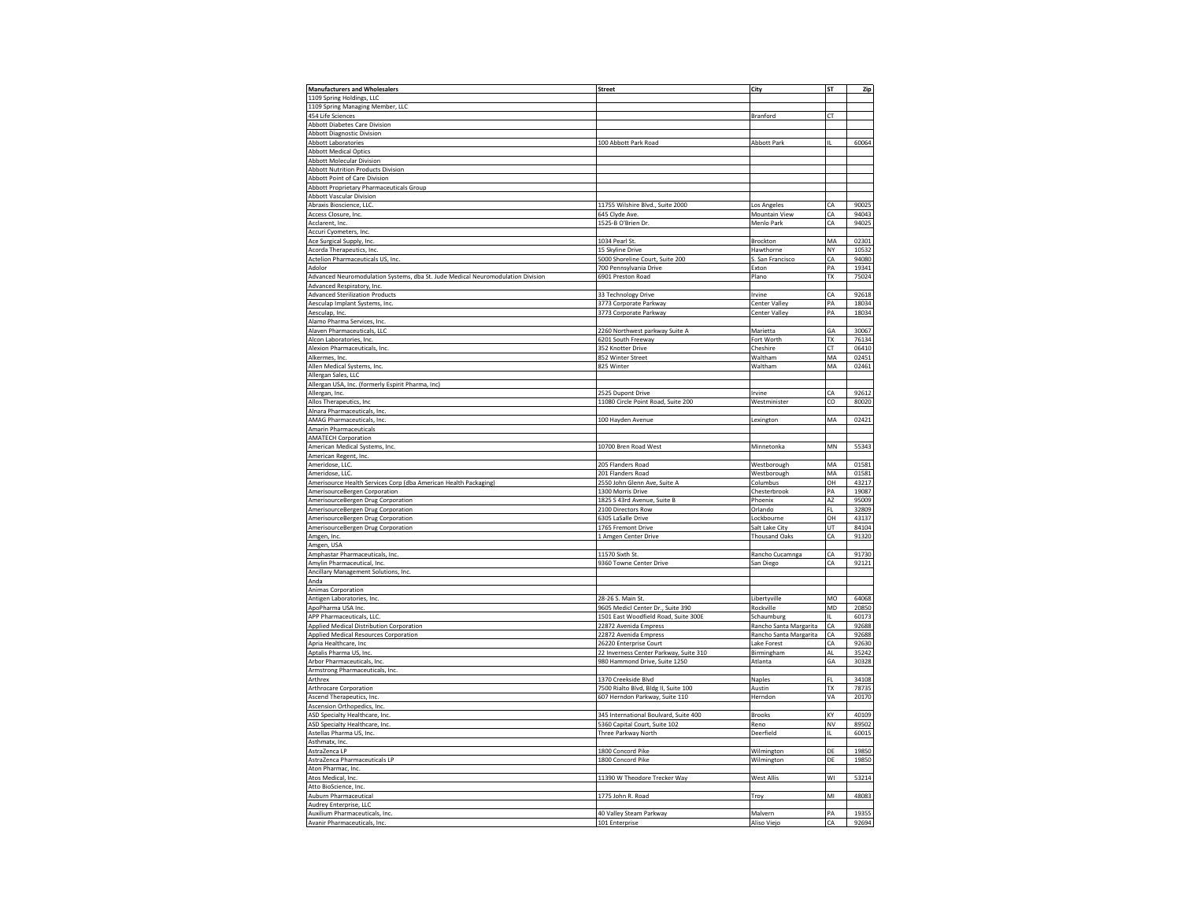| <b>Manufacturers and Wholesalers</b>                                            | <b>Street</b>                                     | City                         | <b>ST</b> | Zip            |
|---------------------------------------------------------------------------------|---------------------------------------------------|------------------------------|-----------|----------------|
| 1109 Spring Holdings, LLC                                                       |                                                   |                              |           |                |
| 1109 Spring Managing Member, LLC                                                |                                                   |                              |           |                |
| 454 Life Sciences                                                               |                                                   | Branford                     | CT        |                |
|                                                                                 |                                                   |                              |           |                |
| Abbott Diabetes Care Division                                                   |                                                   |                              |           |                |
| <b>Abbott Diagnostic Division</b>                                               |                                                   |                              |           |                |
| <b>Abbott Laboratories</b>                                                      | 100 Abbott Park Road                              | <b>Abbott Park</b>           |           | 60064          |
| <b>Abbott Medical Optics</b>                                                    |                                                   |                              |           |                |
| Abbott Molecular Divisior                                                       |                                                   |                              |           |                |
| <b>Abbott Nutrition Products Division</b>                                       |                                                   |                              |           |                |
| <b>Abbott Point of Care Division</b>                                            |                                                   |                              |           |                |
| Abbott Proprietary Pharmaceuticals Group                                        |                                                   |                              |           |                |
| <b>Abbott Vascular Division</b>                                                 |                                                   |                              |           |                |
| Abraxis Bioscience, LLC                                                         | 11755 Wilshire Blvd., Suite 2000                  | Los Angele:                  | CA        | 90025          |
| Access Closure, Inc.                                                            | 645 Clyde Ave.                                    | Mountain View                | CA        | 94043          |
| Acclarent, Inc.                                                                 | 1525-B O'Brien Dr.                                | Menlo Park                   | CA        | 94025          |
| Accuri Cyometers, Inc.                                                          |                                                   |                              |           |                |
| Ace Surgical Supply, Inc.                                                       | 1034 Pearl St                                     | Brockton                     | MA        | 02301          |
| Acorda Therapeutics, In                                                         | 15 Skyline Drive                                  | Hawthorne                    | NY        | 10532          |
| Actelion Pharmaceuticals US, Inc.                                               | 5000 Shoreline Court, Suite 200                   | S. San Francisco             | CA        | 94080          |
| Adolor                                                                          | 700 Pennsylvania Drive                            | Exton                        | PA        | 19341          |
| Advanced Neuromodulation Systems, dba St. Jude Medical Neuromodulation Division | 6901 Preston Road                                 | Plano                        | <b>TX</b> | 75024          |
| Advanced Respiratory, Inc.                                                      |                                                   |                              |           |                |
|                                                                                 |                                                   |                              |           |                |
| <b>Advanced Sterilization Products</b>                                          | 33 Technology Drive                               | Irvine                       | CA        | 92618          |
| Aesculap Implant Systems, Inc.                                                  | 3773 Corporate Parkway                            | Center Valley                | PA        | 18034          |
| Aesculap, Inc.                                                                  | 3773 Corporate Parkway                            | Center Valley                | PA        | 18034          |
| Alamo Pharma Services, Inc.                                                     |                                                   |                              |           |                |
| Alaven Pharmaceuticals, LLC                                                     | 2260 Northwest parkway Suite A                    | Marietta                     | GΑ        | 30067          |
| Alcon Laboratories, Inc                                                         | 6201 South Freeway                                | Fort Worth                   | TX        | 76134          |
| Alexion Pharmaceuticals, Inc.                                                   | 352 Knotter Drive                                 | Cheshire                     | CT        | 06410          |
| Alkermes, Inc.                                                                  | 852 Winter Street                                 | Waltham                      | MA        | 02451          |
| Allen Medical Systems, Inc.                                                     | 825 Winter                                        | Waltham                      | MA        | 02461          |
| Allergan Sales, LLC                                                             |                                                   |                              |           |                |
| Allergan USA, Inc. (formerly Espirit Pharma, Inc)                               |                                                   |                              |           |                |
| Allergan, Inc                                                                   | 2525 Dupont Drive                                 | Irvine                       | CA        | 92612          |
| Allos Therapeutics, Inc                                                         | 11080 Circle Point Road, Suite 200                | Westminister                 | CO        | 80020          |
| Alnara Pharmaceuticals, Inc.                                                    |                                                   |                              |           |                |
| AMAG Pharmaceuticals, Inc.                                                      | 100 Hayden Avenue                                 |                              | MA        | 02421          |
|                                                                                 |                                                   | Lexington                    |           |                |
| Amarin Pharmaceuticals                                                          |                                                   |                              |           |                |
| <b>AMATECH Corporation</b>                                                      |                                                   |                              |           |                |
| American Medical Systems, Inc.                                                  | 10700 Bren Road West                              | Minnetonka                   | MN        | 55343          |
|                                                                                 |                                                   |                              |           |                |
| American Regent, Inc.                                                           |                                                   |                              |           |                |
| Ameridose, LLC.                                                                 | 205 Flanders Road                                 | Westborough                  | MA        | 01581          |
| Ameridose, LLC                                                                  | 201 Flanders Road                                 | Westborough                  | MA        | 01581          |
| Amerisource Health Services Corp (dba American Health Packaging)                | 2550 John Glenn Ave, Suite A                      | Columbus                     | OH        | 43217          |
| AmerisourceBergen Corporation                                                   | 1300 Morris Drive                                 | Chesterbrook                 | PA        | 19087          |
| AmerisourceBergen Drug Corporation                                              |                                                   | Phoenix                      | AZ        | 95009          |
|                                                                                 | 1825 S 43rd Avenue, Suite B<br>2100 Directors Row | Orlando                      | FL        | 32809          |
| AmerisourceBergen Drug Corporation                                              |                                                   |                              |           |                |
| AmerisourceBergen Drug Corporation                                              | 6305 LaSalle Drive<br>1765 Fremont Drive          | Lockbourne<br>Salt Lake City | OH<br>UT  | 43137<br>84104 |
| AmerisourceBergen Drug Corporation                                              |                                                   |                              |           |                |
| Amgen, Inc.                                                                     | 1 Amgen Center Drive                              | <b>Thousand Oaks</b>         | СA        | 91320          |
| Amgen, USA                                                                      |                                                   |                              |           |                |
| Amphastar Pharmaceuticals, Inc.                                                 | 11570 Sixth St.                                   | Rancho Cucamnga              | CA        | 91730          |
| Amylin Pharmaceutical, Inc                                                      | 9360 Towne Center Drive                           | San Diego                    | CA        | 92121          |
| Ancillary Management Solutions, Inc.                                            |                                                   |                              |           |                |
| Anda                                                                            |                                                   |                              |           |                |
| Animas Corporation                                                              |                                                   |                              |           |                |
| Antigen Laboratories, Inc.                                                      | 28-26 S. Main St.                                 | Libertyville                 | MO        | 64068          |
| ApoPharma USA Inc.                                                              | 9605 Medicl Center Dr., Suite 390                 | Rockville                    | MD        | 20850          |
| APP Pharmaceuticals, LLC                                                        | 1501 East Woodfield Road, Suite 300E              | Schaumburg                   | IL.       | 60173          |
| Applied Medical Distribution Corporation                                        | 22872 Avenida Empress                             | Rancho Santa Margarita       | CA        | 92688          |
| Applied Medical Resources Corporation                                           | 22872 Avenida Empress                             | Rancho Santa Margarita       | CA        | 92688          |
| Apria Healthcare, Inc                                                           | 26220 Enterprise Court                            | Lake Forest                  | CA        | 92630          |
| Aptalis Pharma US, Inc                                                          | 22 Inverness Center Parkway, Suite 310            | Birmingham                   | AL        | 35242          |
| Arbor Pharmaceuticals, Inc.                                                     | 980 Hammond Drive, Suite 1250                     | Atlanta                      | GA        | 30328          |
| Armstrong Pharmaceuticals, Inc.                                                 |                                                   |                              |           |                |
| Arthrex                                                                         | 1370 Creekside Blvd                               | Naples                       | FI.       | 34108          |
| <b>Arthrocare Corporation</b>                                                   | 7500 Rialto Blvd, Bldg II, Suite 100              | Austin                       | TX        | 78735          |
|                                                                                 |                                                   |                              |           |                |
| Ascend Therapeutics, Inc                                                        | 607 Herndon Parkway, Suite 110                    | Herndon                      | VA        | 20170          |
| Ascension Orthopedics, Inc                                                      |                                                   | <b>Brooks</b>                |           |                |
| ASD Specialty Healthcare, Inc.                                                  | 345 International Boulvard, Suite 400             | Reno                         | KY        | 40109<br>89502 |
| ASD Specialty Healthcare, Inc.                                                  | 5360 Capital Court, Suite 102                     |                              | NV        |                |
| Astellas Pharma US, Inc.                                                        | Three Parkway North                               | Deerfield                    | IL.       | 60015          |
| Asthmatx, Inc.                                                                  |                                                   |                              |           |                |
| AstraZenca LP                                                                   | 1800 Concord Pike                                 | Wilmington                   | DE        | 19850          |
| AstraZenca Pharmaceuticals LP                                                   | 1800 Concord Pike                                 | Wilmington                   | DE        | 19850          |
| Aton Pharmac, Inc.                                                              |                                                   |                              |           |                |
| Atos Medical, Inc.                                                              | 11390 W Theodore Trecker Way                      | West Allis                   | WI        | 53214          |
| Atto BioScience, Inc                                                            |                                                   |                              |           |                |
| Auburn Pharmaceutical                                                           | 1775 John R. Road                                 | Troy                         | MI        | 48083          |
| Audrey Enterprise, LLC                                                          |                                                   |                              |           |                |
| Auxilium Pharmaceuticals, Inc.<br>Avanir Pharmaceuticals, Inc.                  | 40 Valley Steam Parkway<br>101 Enterprise         | Malvern<br>Aliso Viejo       | PA<br>CA  | 19355<br>92694 |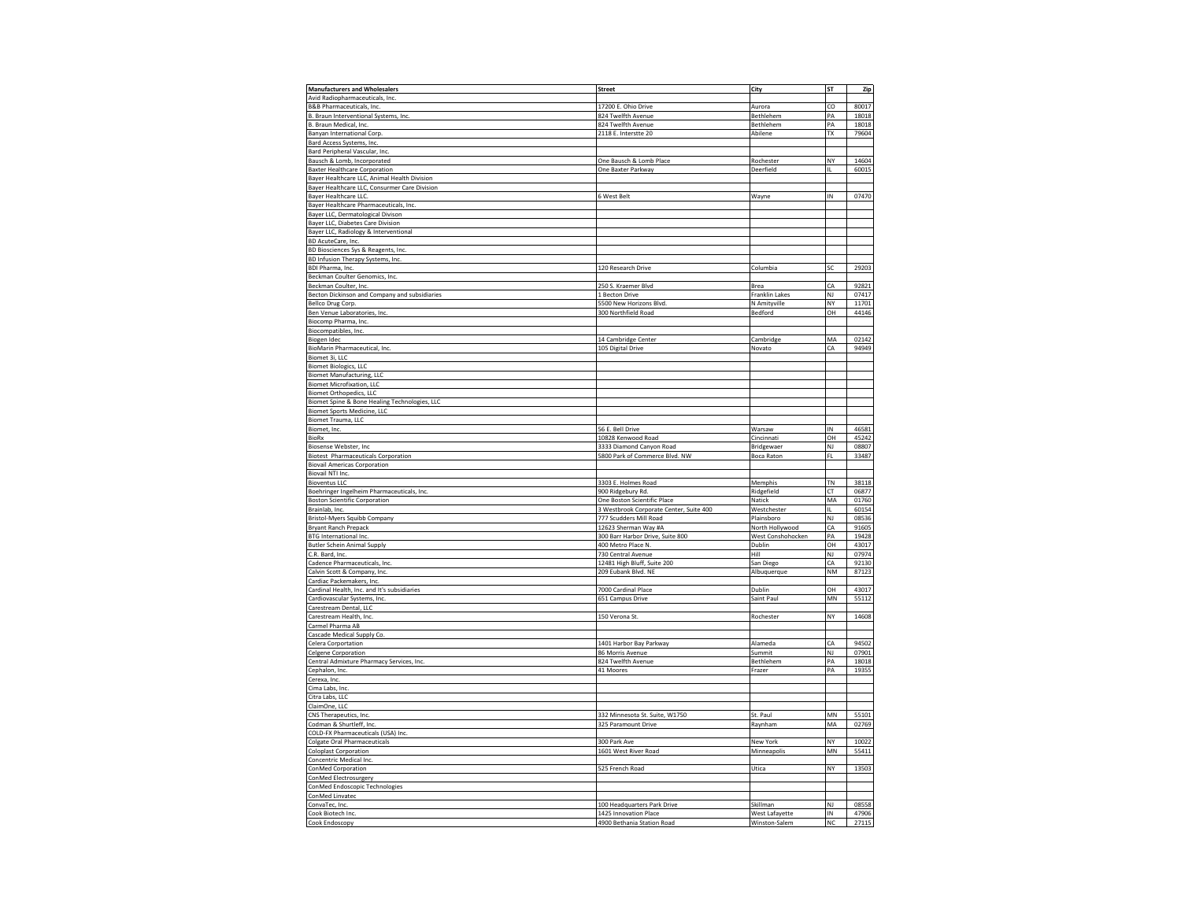| <b>Manufacturers and Wholesalers</b>          | <b>Street</b>                                       | City                            | ST              |                |
|-----------------------------------------------|-----------------------------------------------------|---------------------------------|-----------------|----------------|
|                                               |                                                     |                                 |                 | Zip            |
| Avid Radiopharmaceuticals, Inc.               |                                                     |                                 |                 |                |
| B&B Pharmaceuticals, Inc.                     | 17200 E. Ohio Drive                                 | Aurora                          | co              | 80017          |
| B. Braun Interventional Systems, Inc.         | 824 Twelfth Avenue                                  | Bethlehem                       | PA              | 18018          |
| B. Braun Medical, Inc.                        | 824 Twelfth Avenue                                  | Bethlehem                       | PA              | 18018          |
| Banyan International Corp.                    | 2118 E. Interstte 20                                | Abilene                         | TX              | 79604          |
|                                               |                                                     |                                 |                 |                |
| Bard Access Systems, Inc.                     |                                                     |                                 |                 |                |
| Bard Peripheral Vascular, Inc.                |                                                     |                                 |                 |                |
| Bausch & Lomb, Incorporated                   | One Bausch & Lomb Place                             | Rochester                       | NY              | 14604          |
| <b>Baxter Healthcare Corporation</b>          | One Baxter Parkway                                  | Deerfield                       | Ш               | 60015          |
| Bayer Healthcare LLC, Animal Health Division  |                                                     |                                 |                 |                |
|                                               |                                                     |                                 |                 |                |
| Bayer Healthcare LLC, Consurmer Care Division |                                                     |                                 |                 |                |
| Bayer Healthcare LLC.                         | 6 West Belt                                         | Wayne                           | IN              | 07470          |
| Bayer Healthcare Pharmaceuticals, Inc.        |                                                     |                                 |                 |                |
| Bayer LLC, Dermatological Divison             |                                                     |                                 |                 |                |
| Bayer LLC, Diabetes Care Division             |                                                     |                                 |                 |                |
| Bayer LLC, Radiology & Interventional         |                                                     |                                 |                 |                |
| BD AcuteCare, Inc.                            |                                                     |                                 |                 |                |
|                                               |                                                     |                                 |                 |                |
| BD Biosciences Sys & Reagents, Inc.           |                                                     |                                 |                 |                |
| BD Infusion Therapy Systems, Inc.             |                                                     |                                 |                 |                |
| BDI Pharma, Inc.                              | 120 Research Drive                                  | Columbia                        | SC              | 29203          |
| Beckman Coulter Genomics, Inc.                |                                                     |                                 |                 |                |
| Beckman Coulter, Inc.                         | 250 S. Kraemer Blvd                                 | Brea                            | CA              | 92821          |
|                                               |                                                     |                                 |                 |                |
| Becton Dickinson and Company and subsidiaries | 1 Becton Drive                                      | Franklin Lakes                  | NJ              | 07417          |
| Bellco Drug Corp.                             | 5500 New Horizons Blvd.                             | N Amityville                    | NY              | 11701          |
| Ben Venue Laboratories, Inc.                  | 300 Northfield Road                                 | Bedford                         | OH              | 44146          |
| Biocomp Pharma, Inc.                          |                                                     |                                 |                 |                |
| Biocompatibles, Inc.                          |                                                     |                                 |                 |                |
|                                               |                                                     |                                 |                 |                |
| Biogen Idec                                   | 14 Cambridge Center                                 | Cambridge                       | MA              | 02142          |
| BioMarin Pharmaceutical, Inc.                 | 105 Digital Drive                                   | Novato                          | CA              | 94949          |
| Biomet 3i, LLC                                |                                                     |                                 |                 |                |
| <b>Biomet Biologics, LLC</b>                  |                                                     |                                 |                 |                |
| <b>Biomet Manufacturing, LLC</b>              |                                                     |                                 |                 |                |
|                                               |                                                     |                                 |                 |                |
| <b>Biomet Microfixation, LLC</b>              |                                                     |                                 |                 |                |
| <b>Biomet Orthopedics, LLC</b>                |                                                     |                                 |                 |                |
| Biomet Spine & Bone Healing Technologies, LLC |                                                     |                                 |                 |                |
| Biomet Sports Medicine, LLC                   |                                                     |                                 |                 |                |
| Biomet Trauma, LLC                            |                                                     |                                 |                 |                |
|                                               |                                                     |                                 |                 |                |
| Biomet, Inc.                                  | 56 E. Bell Drive                                    | Warsaw                          | IN              | 46581          |
| <b>BioRx</b>                                  | 10828 Kenwood Road                                  | Cincinnati                      | OH              | 45242          |
| Biosense Webster, Inc                         | 3333 Diamond Canyon Road                            | Bridgewaer                      | NJ              | 08807          |
| <b>Biotest Pharmaceuticals Corporation</b>    | 5800 Park of Commerce Blvd. NW                      | Boca Raton                      | FL              | 33487          |
|                                               |                                                     |                                 |                 |                |
|                                               |                                                     |                                 |                 |                |
| <b>Biovail Americas Corporation</b>           |                                                     |                                 |                 |                |
| Biovail NTI Inc.                              |                                                     |                                 |                 |                |
| <b>Bioventus LLC</b>                          | 3303 E. Holmes Road                                 | Memphis                         | TN              | 38118          |
|                                               |                                                     |                                 | CT              | 06877          |
| Boehringer Ingelheim Pharmaceuticals, Inc.    | 900 Ridgebury Rd.                                   | Ridgefield                      |                 |                |
| <b>Boston Scientific Corporation</b>          | One Boston Scientific Place                         | Natick                          | MA              | 01760          |
| Brainlab, Inc.                                | 3 Westbrook Corporate Center, Suite 400             | Westchester                     | IL              | 60154          |
| Bristol-Myers Squibb Company                  | 777 Scudders Mill Road                              | Plainsboro                      | NJ              | 08536          |
| <b>Bryant Ranch Prepack</b>                   | 12623 Sherman Way #A                                | North Hollywood                 | CA              | 91605          |
|                                               |                                                     |                                 | PA              | 19428          |
| BTG International Inc.                        | 300 Barr Harbor Drive, Suite 800                    | West Conshohocken               |                 |                |
| <b>Butler Schein Animal Supply</b>            | 400 Metro Place N.                                  | Dublin                          | OH              | 43017          |
| C.R. Bard, Inc.                               | 730 Central Avenue                                  | Hill                            | NJ              | 07974          |
| Cadence Pharmaceuticals, Inc.                 | 12481 High Bluff, Suite 200                         | San Diego                       | CA              | 92130          |
| Calvin Scott & Company, Inc.                  | 209 Eubank Blvd. NE                                 | Albuquerque                     | <b>NM</b>       | 87123          |
|                                               |                                                     |                                 |                 |                |
| Cardiac Packemakers, Inc.                     |                                                     |                                 | OH              |                |
| Cardinal Health, Inc. and It's subsidiaries   | 7000 Cardinal Place                                 | Dublin                          |                 | 43017          |
| Cardiovascular Systems, Inc.                  | 651 Campus Drive                                    | Saint Paul                      | MN              | 55112          |
| Carestream Dental, LLC                        |                                                     |                                 |                 |                |
| Carestream Health, Inc.                       | 150 Verona St.                                      | Rochester                       | NY              | 14608          |
| Carmel Pharma AB                              |                                                     |                                 |                 |                |
|                                               |                                                     |                                 |                 |                |
| Cascade Medical Supply Co.                    |                                                     |                                 |                 |                |
| Celera Corportation                           | 1401 Harbor Bay Parkway                             | Alameda                         | CA              | 94502          |
| Celgene Corporation                           | 86 Morris Avenue                                    | Summit                          | NJ              | 07901          |
| Central Admixture Pharmacy Services, Inc.     | 824 Twelfth Avenue                                  | Bethlehem                       | PA              | 18018          |
| Cephalon, Inc.                                | 41 Moores                                           | Frazer                          | PA              | 19355          |
|                                               |                                                     |                                 |                 |                |
| Cerexa, Inc.                                  |                                                     |                                 |                 |                |
| Cima Labs, Inc.                               |                                                     |                                 |                 |                |
| Citra Labs, LLC                               |                                                     |                                 |                 |                |
| ClaimOne, LLC                                 |                                                     |                                 |                 |                |
| CNS Therapeutics, Inc.                        | 332 Minnesota St. Suite, W1750                      | St. Paul                        | MN              | 55101          |
| Codman & Shurtleff, Inc.                      | 325 Paramount Drive                                 |                                 | MA              | 02769          |
|                                               |                                                     | Raynham                         |                 |                |
| COLD-FX Pharmaceuticals (USA) Inc.            |                                                     |                                 |                 |                |
| Colgate Oral Pharmaceuticals                  | 300 Park Ave                                        | New York                        | NY              | 10022          |
| <b>Coloplast Corporation</b>                  | 1601 West River Road                                | Minneapolis                     | MN              | 55411          |
|                                               |                                                     |                                 |                 |                |
| Concentric Medical Inc.                       |                                                     |                                 | NY              |                |
| ConMed Corporation                            | 525 French Road                                     | Utica                           |                 | 13503          |
| ConMed Electrosurgery                         |                                                     |                                 |                 |                |
| ConMed Endoscopic Technologies                |                                                     |                                 |                 |                |
| ConMed Linvatec                               |                                                     |                                 |                 |                |
|                                               |                                                     | Skillman                        | NJ              | 08558          |
| ConvaTec, Inc.                                | 100 Headquarters Park Drive                         |                                 |                 |                |
| Cook Biotech Inc.<br>Cook Endoscopy           | 1425 Innovation Place<br>4900 Bethania Station Road | West Lafayette<br>Winston-Salem | IN<br><b>NC</b> | 47906<br>27115 |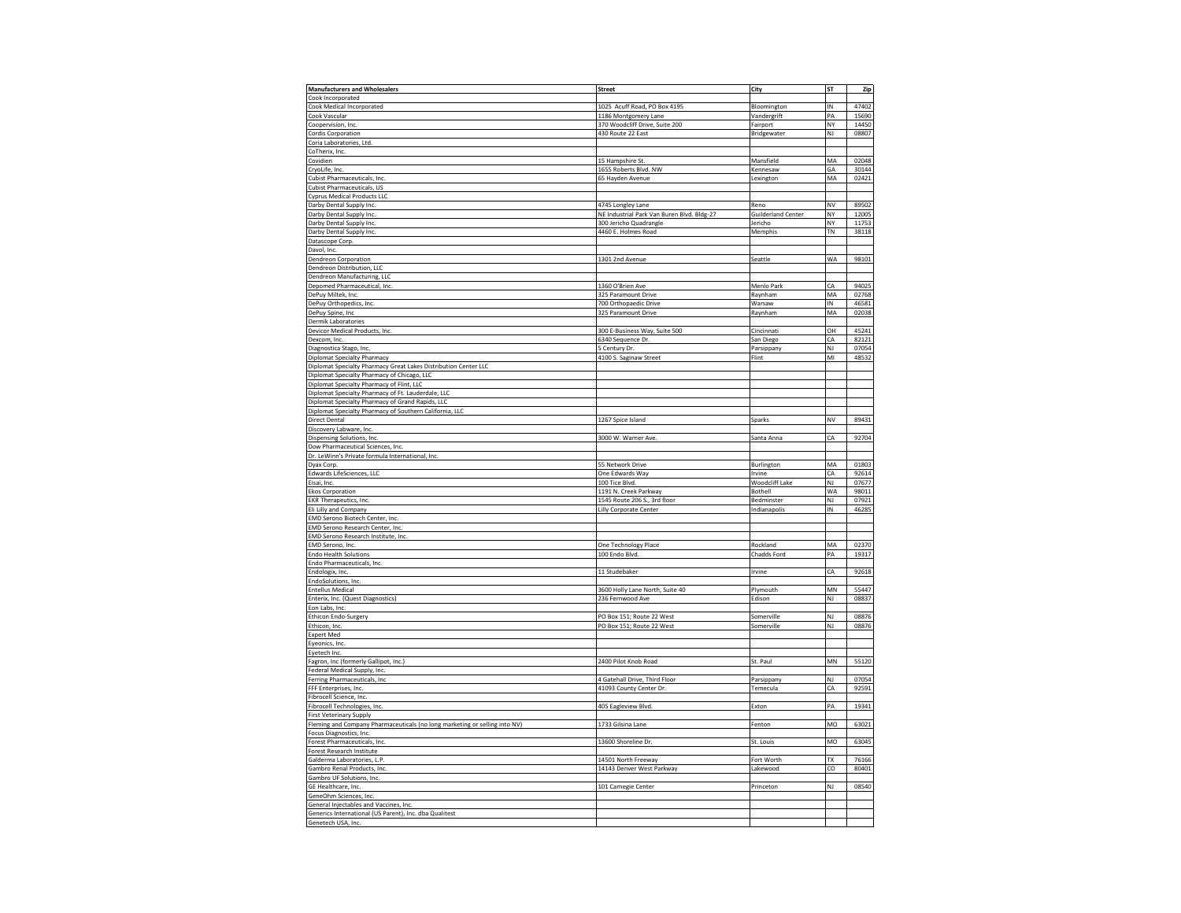| <b>Manufacturers and Wholesalers</b>                                                                   | <b>Street</b>                              | City                      | ST        | Zip   |
|--------------------------------------------------------------------------------------------------------|--------------------------------------------|---------------------------|-----------|-------|
| Cook Incorporated                                                                                      |                                            |                           |           |       |
| Cook Medical Incorporated                                                                              | 1025 Acuff Road, PO Box 4195               | Bloomington               | IN        | 47402 |
| Cook Vascular                                                                                          | 1186 Montgomery Lane                       | Vandergrift               | PA        | 15690 |
|                                                                                                        | 370 Woodcliff Drive, Suite 200             | Fairport                  | NY        | 14450 |
| Coopervision, Inc.                                                                                     |                                            |                           | NJ        |       |
| <b>Cordis Corporation</b>                                                                              | 430 Route 22 East                          | Bridgewater               |           | 08807 |
| Coria Laboratories, Ltd.                                                                               |                                            |                           |           |       |
| CoTherix, Inc.                                                                                         |                                            |                           |           |       |
| Covidien                                                                                               | 15 Hampshire St                            | Mansfield                 | MA        | 02048 |
| CryoLife, Inc.                                                                                         | 1655 Roberts Blvd. NW                      | Kennesaw                  | GA        | 30144 |
| Cubist Pharmaceuticals, Inc.                                                                           | 65 Hayden Avenue                           | Lexington                 | MA        | 02421 |
| Cubist Pharmaceuticals, US                                                                             |                                            |                           |           |       |
| <b>Cyprus Medical Products LLC</b>                                                                     |                                            |                           |           |       |
| Darby Dental Supply Inc.                                                                               | 4745 Longley Lane                          | Reno                      | NV        | 89502 |
| Darby Dental Supply Inc.                                                                               | NE Industrial Park Van Buren Blvd. Bldg-27 | <b>Guilderland Center</b> | NY        | 12005 |
| Darby Dental Supply Inc.                                                                               | 300 Jericho Quadrangle                     | Jericho                   | NY        | 11753 |
| Darby Dental Supply Inc.                                                                               | 4460 E. Holmes Road                        | Memphis                   | TN        | 38118 |
| Datascope Corp.                                                                                        |                                            |                           |           |       |
| Davol, Inc.                                                                                            |                                            |                           |           |       |
| <b>Dendreon Corporation</b>                                                                            | 1301 2nd Avenue                            | Seattle                   | WA        | 98101 |
| Dendreon Distribution, LLC                                                                             |                                            |                           |           |       |
| Dendreon Manufacturing, LLC                                                                            |                                            |                           |           |       |
|                                                                                                        | 1360 O'Brien Ave                           | Menlo Park                | СA        | 94025 |
| Depomed Pharmaceutical, Inc.<br>DePuy Miltek, Inc.                                                     | 325 Paramount Drive                        | Raynham                   | MA        | 02768 |
| DePuy Orthopedics, Inc.                                                                                | 700 Orthopaedic Drive                      | Warsaw                    | IN        | 46581 |
| DePuy Spine, Inc                                                                                       | 325 Paramount Drive                        | Raynham                   | MA        | 02038 |
| Dermik Laboratories                                                                                    |                                            |                           |           |       |
| Devicor Medical Products, Inc.                                                                         | 300 E-Business Way, Suite 500              | Cincinnati                | OН        | 45241 |
| Dexcom, Inc.                                                                                           | 6340 Sequence Dr.                          | San Diego                 | CA        | 82121 |
| Diagnostica Stago, Inc.                                                                                | 5 Century Dr                               | Parsippany                | NJ        | 07054 |
| <b>Diplomat Specialty Pharmacy</b>                                                                     | 4100 S. Saginaw Street                     | Flint                     | MI        | 48532 |
| Diplomat Specialty Pharmacy Great Lakes Distribution Center LLC                                        |                                            |                           |           |       |
|                                                                                                        |                                            |                           |           |       |
| Diplomat Specialty Pharmacy of Chicago, LLC<br>Diplomat Specialty Pharmacy of Flint, LLC               |                                            |                           |           |       |
|                                                                                                        |                                            |                           |           |       |
| Diplomat Specialty Pharmacy of Ft. Lauderdale, LLC<br>Diplomat Specialty Pharmacy of Grand Rapids, LLC |                                            |                           |           |       |
|                                                                                                        |                                            |                           |           |       |
| Diplomat Specialty Pharmacy of Southern California, LLC                                                |                                            |                           |           |       |
| Direct Dental                                                                                          | 1267 Spice Island                          | Sparks                    | NV        | 89431 |
| Discovery Labware, Inc.                                                                                |                                            |                           |           |       |
| Dispensing Solutions, Inc.                                                                             | 3000 W. Warner Ave.                        | Santa Anna                | СA        | 92704 |
| Dow Pharmaceutical Sciences, Inc.                                                                      |                                            |                           |           |       |
| Dr. LeWinn's Private formula International, Inc.                                                       |                                            |                           |           |       |
| Dyax Corp.                                                                                             | 55 Network Drive                           | Burlington                | MA        | 01803 |
| Edwards LifeSciences, LLC                                                                              | One Edwards Way                            | Irvine                    | CA        | 92614 |
| Eisai, Inc.                                                                                            | 100 Tice Blvd.                             | Woodcliff Lake            | NJ        | 07677 |
| <b>Ekos Corporation</b>                                                                                | 1191 N. Creek Parkway                      | Bothell                   | WA        | 98011 |
| <b>EKR Therapeutics, Inc.</b>                                                                          | 1545 Route 206 S., 3rd floor               | Bedminster                | NJ        | 07921 |
| Eli Lilly and Company                                                                                  | Lilly Corporate Center                     | Indianapolis              | IN        | 46285 |
| EMD Serono Biotech Center, Inc                                                                         |                                            |                           |           |       |
| EMD Serono Research Center, Inc.                                                                       |                                            |                           |           |       |
| EMD Serono Research Institute, Inc.                                                                    |                                            |                           |           |       |
| EMD Serono, Inc.                                                                                       | One Technology Place                       | Rockland                  | MA        | 02370 |
| <b>Endo Health Solutions</b>                                                                           | 100 Endo Blvd                              | Chadds Ford               | PA        | 19317 |
| Endo Pharmaceuticals, Inc.                                                                             |                                            |                           |           |       |
| Endologix, Inc.                                                                                        | 11 Studebaker                              | Irvine                    | СA        | 92618 |
| EndoSolutions, Inc.                                                                                    |                                            |                           |           |       |
| <b>Entellus Medical</b>                                                                                | 3600 Holly Lane North, Suite 40            | Plymouth                  | MN        | 55447 |
| Enterix, Inc. (Quest Diagnostics)                                                                      | 236 Fernwood Ave                           | Edison                    | NJ        | 08837 |
| Eon Labs, Inc.                                                                                         |                                            |                           |           |       |
| Ethicon Endo-Surgery                                                                                   | PO Box 151; Route 22 West                  | Somerville                | NJ        | 08876 |
| Ethicon, Inc.                                                                                          | PO Box 151; Route 22 West                  | Somerville                | <b>NJ</b> | 08876 |
| <b>Expert Med</b>                                                                                      |                                            |                           |           |       |
| Eyeonics, Inc.                                                                                         |                                            |                           |           |       |
| Eyetech Inc.                                                                                           |                                            |                           |           |       |
|                                                                                                        | 2400 Pilot Knob Road                       | St. Paul                  | MN        | 55120 |
| Fagron, Inc (formerly Gallipot, Inc.)<br>Federal Medical Supply, Inc.                                  |                                            |                           |           |       |
| Ferring Pharmaceuticals, Inc.                                                                          | 4 Gatehall Drive, Third Floor              |                           | NJ        | 07054 |
|                                                                                                        |                                            | Parsippany<br>Temecula    | СA        | 92591 |
| FFF Enterprises, Inc.<br>Fibrocell Science, Inc.                                                       | 41093 County Center Dr.                    |                           |           |       |
|                                                                                                        | 405 Eagleview Blvd.                        | Exton                     | PA        | 19341 |
| Fibrocell Technologies, Inc.<br>First Veterinary Supply                                                |                                            |                           |           |       |
|                                                                                                        |                                            |                           |           |       |
| Fleming and Company Pharmaceuticals (no long marketing or selling into NV)                             | 1733 Gilsina Lane                          | Fenton                    | MO        | 63021 |
| Focus Diagnostics, Inc.                                                                                |                                            |                           |           |       |
| Forest Pharmaceuticals, Inc.                                                                           | 13600 Shoreline Dr.                        | St. Louis                 | MO        | 63045 |
| Forest Research Institute                                                                              |                                            |                           |           |       |
| Galderma Laboratories, L.P.                                                                            | 14501 North Freeway                        | Fort Worth                | TX        | 76166 |
| Gambro Renal Products, Inc.                                                                            | 14143 Denver West Parkway                  | Lakewood                  | CO        | 80401 |
| Gambro UF Solutions, Inc.                                                                              |                                            |                           |           |       |
| GE Healthcare, Inc.                                                                                    | 101 Carnegie Center                        | Princeton                 | ΝI        | 08540 |
| GeneOhm Sciences, Inc.                                                                                 |                                            |                           |           |       |
| General Injectables and Vaccines, Inc.                                                                 |                                            |                           |           |       |
| Generics International (US Parent), Inc. dba Qualitest                                                 |                                            |                           |           |       |
| Genetech USA, Inc.                                                                                     |                                            |                           |           |       |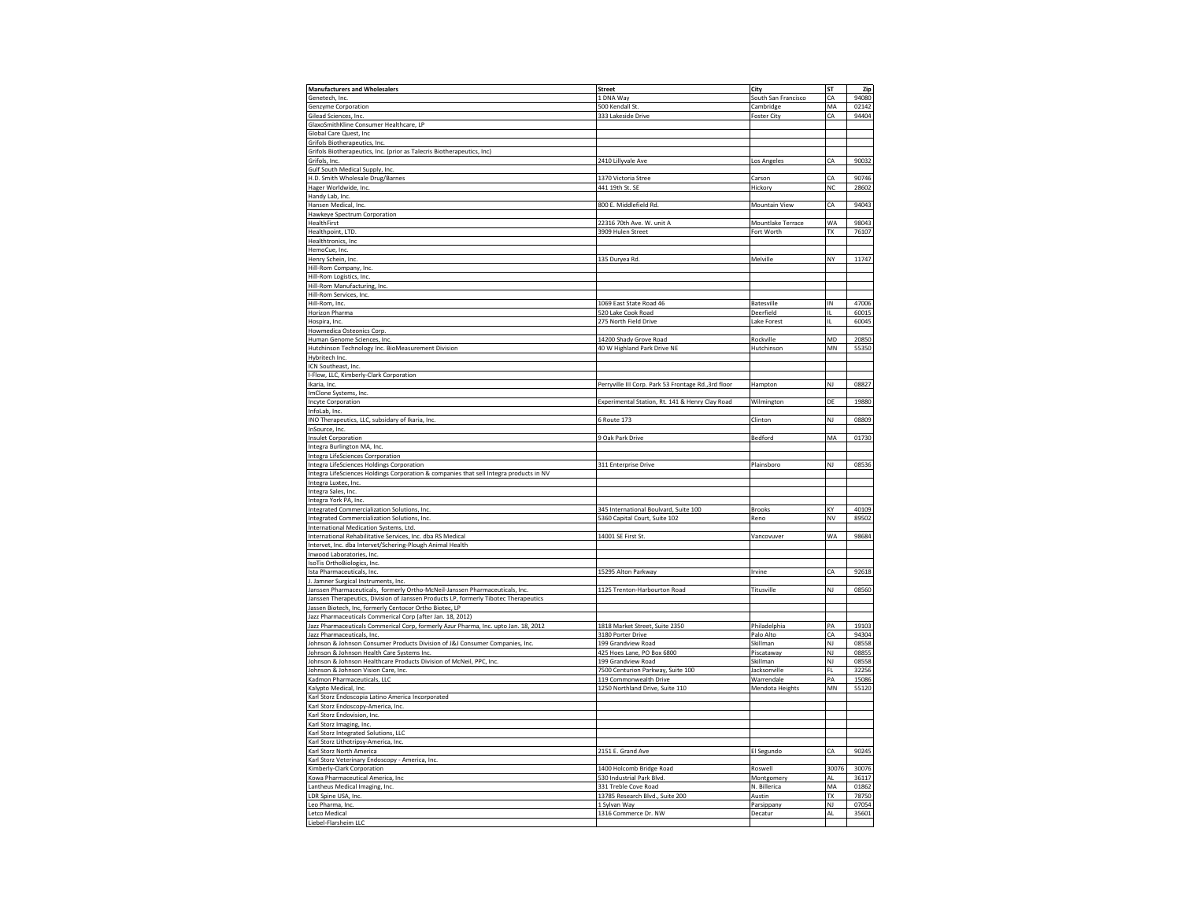| <b>Manufacturers and Wholesalers</b>                                                   | <b>Street</b>                                        |                      | ST                     |       |
|----------------------------------------------------------------------------------------|------------------------------------------------------|----------------------|------------------------|-------|
|                                                                                        |                                                      | City                 |                        | Zip   |
| Genetech, Inc.                                                                         | 1 DNA Way                                            | South San Francisco  | CA                     | 94080 |
| Genzyme Corporation                                                                    | 500 Kendall St                                       | Cambridge            | MA                     | 02142 |
| Gilead Sciences, Inc.                                                                  | 333 Lakeside Drive                                   | <b>Foster City</b>   | CA                     | 94404 |
| GlaxoSmithKline Consumer Healthcare, LP                                                |                                                      |                      |                        |       |
| Global Care Quest, Inc.                                                                |                                                      |                      |                        |       |
| Grifols Biotherapeutics, Inc.                                                          |                                                      |                      |                        |       |
|                                                                                        |                                                      |                      |                        |       |
| Grifols Biotherapeutics, Inc. (prior as Talecris Biotherapeutics, Inc)                 |                                                      |                      |                        |       |
| Grifols, Inc.                                                                          | 2410 Lillyvale Ave                                   | Los Angeles          | CA                     | 90032 |
| Gulf South Medical Supply, Inc.                                                        |                                                      |                      |                        |       |
| H.D. Smith Wholesale Drug/Barnes                                                       | 1370 Victoria Stree                                  | Carson               | CA                     | 90746 |
| Hager Worldwide, Inc.                                                                  | 441 19th St. SE                                      | Hickory              | NC                     | 28602 |
| Handy Lab, Inc.                                                                        |                                                      |                      |                        |       |
| Hansen Medical, Inc.                                                                   | 800 E. Middlefield Rd                                | <b>Mountain View</b> | CA                     | 94043 |
|                                                                                        |                                                      |                      |                        |       |
| Hawkeye Spectrum Corporation                                                           |                                                      |                      |                        |       |
| HealthFirst                                                                            | 22316 70th Ave. W. unit A                            | Mountlake Terrace    | WA                     | 98043 |
| Healthpoint, LTD.                                                                      | 3909 Hulen Street                                    | Fort Worth           | TX                     | 76107 |
| Healthtronics, Inc.                                                                    |                                                      |                      |                        |       |
| HemoCue, Inc.                                                                          |                                                      |                      |                        |       |
| Henry Schein, Inc.                                                                     | 135 Duryea Rd.                                       | Melville             | NY                     | 11747 |
| Hill-Rom Company, Inc.                                                                 |                                                      |                      |                        |       |
|                                                                                        |                                                      |                      |                        |       |
| Hill-Rom Logistics, Inc.                                                               |                                                      |                      |                        |       |
| Hill-Rom Manufacturing, Inc.                                                           |                                                      |                      |                        |       |
| Hill-Rom Services, Inc.                                                                |                                                      |                      |                        |       |
| Hill-Rom, Inc.                                                                         | 1069 East State Road 46                              | Batesville           | IN                     | 47006 |
| Horizon Pharma                                                                         | 520 Lake Cook Road                                   | Deerfield            | IL.                    | 60015 |
| Hospira, Inc.                                                                          | 275 North Field Drive                                | Lake Forest          | IL.                    | 60045 |
|                                                                                        |                                                      |                      |                        |       |
| Howmedica Osteonics Corp.                                                              |                                                      |                      |                        |       |
| Human Genome Sciences, Inc.                                                            | 14200 Shady Grove Road                               | Rockville            | MD                     | 20850 |
| Hutchinson Technology Inc. BioMeasurement Division                                     | 40 W Highland Park Drive NE                          | Hutchinson           | <b>MN</b>              | 55350 |
| Hybritech Inc.                                                                         |                                                      |                      |                        |       |
| ICN Southeast, Inc.                                                                    |                                                      |                      |                        |       |
| I-Flow, LLC, Kimberly-Clark Corporation                                                |                                                      |                      |                        |       |
|                                                                                        |                                                      |                      |                        |       |
| Ikaria, Inc.                                                                           | Perryville III Corp. Park 53 Frontage Rd., 3rd floor | Hampton              | NJ                     | 08827 |
| ImClone Systems, Inc.                                                                  |                                                      |                      |                        |       |
| <b>Incyte Corporation</b>                                                              | Experimental Station, Rt. 141 & Henry Clay Road      | Wilmington           | DE                     | 19880 |
| InfoLab, Inc.                                                                          |                                                      |                      |                        |       |
| INO Therapeutics, LLC, subsidary of Ikaria, Inc.                                       | 6 Route 173                                          | Clinton              | NJ                     | 08809 |
| InSource, Inc.                                                                         |                                                      |                      |                        |       |
|                                                                                        |                                                      |                      | MA                     | 01730 |
| <b>Insulet Corporation</b>                                                             | 9 Oak Park Drive                                     | Bedford              |                        |       |
| Integra Burlington MA, Inc.                                                            |                                                      |                      |                        |       |
| Integra LifeSciences Corrporation                                                      |                                                      |                      |                        |       |
| Integra LifeSciences Holdings Corporation                                              | 311 Enterprise Drive                                 | Plainsboro           | NJ                     | 08536 |
| Integra LifeSciences Holdings Corporation & companies that sell Integra products in NV |                                                      |                      |                        |       |
| Integra Luxtec, Inc.                                                                   |                                                      |                      |                        |       |
| Integra Sales, Inc.                                                                    |                                                      |                      |                        |       |
|                                                                                        |                                                      |                      |                        |       |
| Integra York PA, Inc.                                                                  |                                                      |                      |                        |       |
| Integrated Commercialization Solutions, Inc.                                           | 345 International Boulvard, Suite 100                | <b>Brooks</b>        | KY                     | 40109 |
| Integrated Commercialization Solutions, Inc.                                           | 5360 Capital Court, Suite 102                        | Reno                 | NV                     | 89502 |
| International Medication Systems, Ltd.                                                 |                                                      |                      |                        |       |
| International Rehabilitative Services, Inc. dba RS Medical                             | 14001 SE First St.                                   | Vancovuver           | WA                     | 98684 |
| Intervet, Inc. dba Intervet/Schering-Plough Animal Health                              |                                                      |                      |                        |       |
|                                                                                        |                                                      |                      |                        |       |
| Inwood Laboratories, Inc.                                                              |                                                      |                      |                        |       |
| IsoTis OrthoBiologics, Inc                                                             |                                                      |                      |                        |       |
| Ista Pharmaceuticals, Inc.                                                             | 15295 Alton Parkway                                  | Irvine               | CA                     | 92618 |
| J. Jamner Surgical Instruments, Inc.                                                   |                                                      |                      |                        |       |
| Janssen Pharmaceuticals, formerly Ortho-McNeil-Janssen Pharmaceuticals, Inc.           | 1125 Trenton-Harbourton Road                         | Titusville           | NJ                     | 08560 |
| Janssen Therapeutics, Division of Janssen Products LP, formerly Tibotec Therapeutics   |                                                      |                      |                        |       |
| Jassen Biotech, Inc, formerly Centocor Ortho Biotec, LP                                |                                                      |                      |                        |       |
| Jazz Pharmaceuticals Commerical Corp (after Jan. 18, 2012)                             |                                                      |                      |                        |       |
|                                                                                        |                                                      |                      |                        |       |
| Jazz Pharmaceuticals Commerical Corp, formerly Azur Pharma, Inc. upto Jan. 18, 2012    | 1818 Market Street, Suite 2350                       | Philadelphia         | PA                     | 19103 |
| Jazz Pharmaceuticals, Inc.                                                             | 3180 Porter Drive                                    | Palo Alto            | CA                     | 94304 |
| Johnson & Johnson Consumer Products Division of J&J Consumer Companies, Inc.           | 199 Grandview Road                                   | Skillman             | NJ                     | 08558 |
| Johnson & Johnson Health Care Systems Inc.                                             | 425 Hoes Lane, PO Box 6800                           | Piscataway           | $\mathsf{N}\mathsf{J}$ | 08855 |
| Johnson & Johnson Healthcare Products Division of McNeil, PPC, Inc.                    | 199 Grandview Road                                   | Skillman             | NJ                     | 08558 |
| Johnson & Johnson Vision Care, Inc.                                                    | 7500 Centurion Parkway, Suite 100                    | Jacksonville         | FL                     | 32256 |
| Kadmon Pharmaceuticals, LLC                                                            | 119 Commonwealth Drive                               | Warrendale           | PA                     | 15086 |
|                                                                                        |                                                      |                      |                        |       |
| Kalypto Medical, Inc.                                                                  | 1250 Northland Drive, Suite 110                      | Mendota Heights      | MN                     | 55120 |
| Karl Storz Endoscopia Latino America Incorporated                                      |                                                      |                      |                        |       |
| Karl Storz Endoscopy-America, Inc.                                                     |                                                      |                      |                        |       |
| Karl Storz Endovision, Inc.                                                            |                                                      |                      |                        |       |
| Karl Storz Imaging, Inc.                                                               |                                                      |                      |                        |       |
| Karl Storz Integrated Solutions, LLC                                                   |                                                      |                      |                        |       |
|                                                                                        |                                                      |                      |                        |       |
| Karl Storz Lithotripsy-America, Inc.                                                   |                                                      |                      |                        |       |
| Karl Storz North America                                                               | 2151 E. Grand Ave                                    | El Segundo           | CA                     | 90245 |
| Karl Storz Veterinary Endoscopy - America, Inc.                                        |                                                      |                      |                        |       |
| Kimberly-Clark Corporation                                                             | 1400 Holcomb Bridge Road                             | Roswell              | 30076                  | 30076 |
| Kowa Pharmaceutical America, Inc                                                       | 530 Industrial Park Blvd.                            | Montgomery           | AL                     | 36117 |
| Lantheus Medical Imaging, Inc                                                          | 331 Treble Cove Road                                 | N. Billerica         | MA                     | 01862 |
| LDR Spine USA, Inc.                                                                    |                                                      | Austin               | TX                     | 78750 |
|                                                                                        | 13785 Research Blvd., Suite 200                      |                      |                        |       |
| Leo Pharma, Inc.                                                                       | 1 Sylvan Way                                         | Parsippany           | NJ                     | 07054 |
| Letco Medical                                                                          | 1316 Commerce Dr. NW                                 | Decatur              | AL                     | 35601 |
| Liebel-Flarsheim LLC                                                                   |                                                      |                      |                        |       |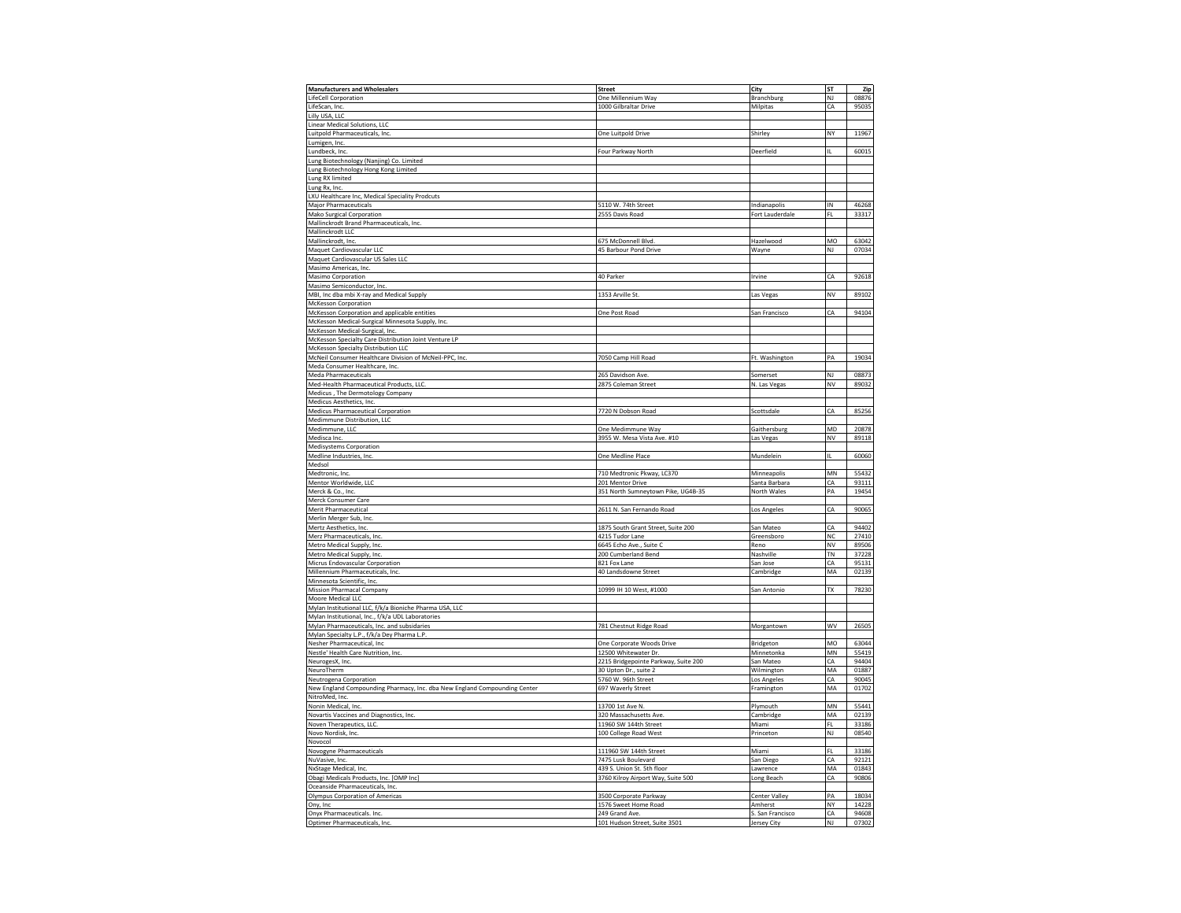| <b>Manufacturers and Wholesalers</b>                                                                                                                                                                                                                                                                                                                                   | <b>Street</b>                                   | City                            | ST            | Zip            |
|------------------------------------------------------------------------------------------------------------------------------------------------------------------------------------------------------------------------------------------------------------------------------------------------------------------------------------------------------------------------|-------------------------------------------------|---------------------------------|---------------|----------------|
|                                                                                                                                                                                                                                                                                                                                                                        |                                                 |                                 |               |                |
| LifeCell Corporation                                                                                                                                                                                                                                                                                                                                                   | One Millennium Way                              | Branchburg                      | NJ            | 08876          |
| LifeScan, Inc.                                                                                                                                                                                                                                                                                                                                                         | 1000 Gilbraltar Drive                           | Milpitas                        | CA            | 95035          |
| Lilly USA, LLC                                                                                                                                                                                                                                                                                                                                                         |                                                 |                                 |               |                |
| Linear Medical Solutions, LLC                                                                                                                                                                                                                                                                                                                                          |                                                 |                                 |               |                |
| Luitpold Pharmaceuticals, Inc.                                                                                                                                                                                                                                                                                                                                         | One Luitpold Drive                              | Shirley                         | NY            | 11967          |
| Lumigen, Inc.                                                                                                                                                                                                                                                                                                                                                          |                                                 |                                 |               |                |
|                                                                                                                                                                                                                                                                                                                                                                        |                                                 |                                 |               | 60015          |
| Lundbeck, Inc.                                                                                                                                                                                                                                                                                                                                                         | Four Parkway North                              | Deerfield                       |               |                |
| Lung Biotechnology (Nanjing) Co. Limited                                                                                                                                                                                                                                                                                                                               |                                                 |                                 |               |                |
| Lung Biotechnology Hong Kong Limited                                                                                                                                                                                                                                                                                                                                   |                                                 |                                 |               |                |
| Lung RX limited                                                                                                                                                                                                                                                                                                                                                        |                                                 |                                 |               |                |
| Lung Rx, Inc.                                                                                                                                                                                                                                                                                                                                                          |                                                 |                                 |               |                |
| LXU Healthcare Inc, Medical Speciality Prodcuts                                                                                                                                                                                                                                                                                                                        |                                                 |                                 |               |                |
|                                                                                                                                                                                                                                                                                                                                                                        | 5110 W. 74th Street                             |                                 | IN            | 46268          |
| Major Pharmaceuticals                                                                                                                                                                                                                                                                                                                                                  |                                                 | Indianapolis                    |               |                |
| <b>Mako Surgical Corporation</b>                                                                                                                                                                                                                                                                                                                                       | 2555 Davis Road                                 | Fort Lauderdale                 | FI.           | 33317          |
| Mallinckrodt Brand Pharmaceuticals, Inc.                                                                                                                                                                                                                                                                                                                               |                                                 |                                 |               |                |
| Mallinckrodt LLC                                                                                                                                                                                                                                                                                                                                                       |                                                 |                                 |               |                |
| Mallinckrodt, Inc.                                                                                                                                                                                                                                                                                                                                                     | 675 McDonnell Blvd.                             | Hazelwood                       | MO            | 63042          |
| Maquet Cardiovascular LLC                                                                                                                                                                                                                                                                                                                                              | 45 Barbour Pond Drive                           | Wayne                           | NJ            | 07034          |
| Maquet Cardiovascular US Sales LLC                                                                                                                                                                                                                                                                                                                                     |                                                 |                                 |               |                |
|                                                                                                                                                                                                                                                                                                                                                                        |                                                 |                                 |               |                |
| Masimo Americas, Inc.                                                                                                                                                                                                                                                                                                                                                  |                                                 |                                 |               |                |
| Masimo Corporation                                                                                                                                                                                                                                                                                                                                                     | 40 Parker                                       | Irvine                          | СA            | 92618          |
| Masimo Semiconductor, Inc.                                                                                                                                                                                                                                                                                                                                             |                                                 |                                 |               |                |
| MBI, Inc dba mbi X-ray and Medical Supply                                                                                                                                                                                                                                                                                                                              | 1353 Arville St.                                | Las Vegas                       | NV            | 89102          |
| McKesson Corporation                                                                                                                                                                                                                                                                                                                                                   |                                                 |                                 |               |                |
| McKesson Corporation and applicable entities                                                                                                                                                                                                                                                                                                                           | One Post Road                                   | San Francisco                   | CA            | 94104          |
|                                                                                                                                                                                                                                                                                                                                                                        |                                                 |                                 |               |                |
| McKesson Medical-Surgical Minnesota Supply, Inc.                                                                                                                                                                                                                                                                                                                       |                                                 |                                 |               |                |
| McKesson Medical-Surgical, Inc.                                                                                                                                                                                                                                                                                                                                        |                                                 |                                 |               |                |
| McKesson Specialty Care Distribution Joint Venture LP                                                                                                                                                                                                                                                                                                                  |                                                 |                                 |               |                |
| McKesson Specialty Distribution LLC                                                                                                                                                                                                                                                                                                                                    |                                                 |                                 |               |                |
| McNeil Consumer Healthcare Division of McNeil-PPC, Inc.                                                                                                                                                                                                                                                                                                                | 7050 Camp Hill Road                             | Ft. Washington                  | PA            | 19034          |
| Meda Consumer Healthcare, Inc.                                                                                                                                                                                                                                                                                                                                         |                                                 |                                 |               |                |
|                                                                                                                                                                                                                                                                                                                                                                        |                                                 |                                 |               | 08873          |
| Meda Pharmaceuticals                                                                                                                                                                                                                                                                                                                                                   | 265 Davidson Ave                                | Somerset                        | NJ            |                |
| Med-Health Pharmaceutical Products, LLC.                                                                                                                                                                                                                                                                                                                               | 2875 Coleman Street                             | N. Las Vegas                    | NV            | 89032          |
| Medicus, The Dermotology Company                                                                                                                                                                                                                                                                                                                                       |                                                 |                                 |               |                |
| Medicus Aesthetics, Inc.                                                                                                                                                                                                                                                                                                                                               |                                                 |                                 |               |                |
| Medicus Pharmaceutical Corporation                                                                                                                                                                                                                                                                                                                                     | 7720 N Dobson Road                              | Scottsdale                      | CA            | 85256          |
| Medimmune Distribution, LLC                                                                                                                                                                                                                                                                                                                                            |                                                 |                                 |               |                |
|                                                                                                                                                                                                                                                                                                                                                                        |                                                 |                                 |               |                |
| Medimmune, LLC                                                                                                                                                                                                                                                                                                                                                         | One Medimmune Way                               | Gaithersburg                    | MD            | 20878          |
| Medisca Inc.                                                                                                                                                                                                                                                                                                                                                           | 3955 W. Mesa Vista Ave. #10                     | Las Vegas                       | NV            | 89118          |
| Medisystems Corporation                                                                                                                                                                                                                                                                                                                                                |                                                 |                                 |               |                |
| Medline Industries, Inc.                                                                                                                                                                                                                                                                                                                                               | One Medline Place                               | Mundelein                       | IL            | 60060          |
|                                                                                                                                                                                                                                                                                                                                                                        |                                                 |                                 |               |                |
|                                                                                                                                                                                                                                                                                                                                                                        |                                                 |                                 |               |                |
| Medsol                                                                                                                                                                                                                                                                                                                                                                 |                                                 |                                 |               |                |
| Medtronic, Inc                                                                                                                                                                                                                                                                                                                                                         | 710 Medtronic Pkway, LC370                      | Minneapolis                     | MN            | 55432          |
|                                                                                                                                                                                                                                                                                                                                                                        | 201 Mentor Drive                                | Santa Barbara                   | CA            | 93111          |
|                                                                                                                                                                                                                                                                                                                                                                        | 351 North Sumneytown Pike, UG4B-35              | North Wales                     | PA            | 19454          |
|                                                                                                                                                                                                                                                                                                                                                                        |                                                 |                                 |               |                |
|                                                                                                                                                                                                                                                                                                                                                                        |                                                 |                                 |               |                |
|                                                                                                                                                                                                                                                                                                                                                                        | 2611 N. San Fernando Road                       | Los Angeles                     | CA            | 90065          |
|                                                                                                                                                                                                                                                                                                                                                                        |                                                 |                                 |               |                |
|                                                                                                                                                                                                                                                                                                                                                                        | 1875 South Grant Street, Suite 200              | San Mateo                       | CA            | 94402          |
|                                                                                                                                                                                                                                                                                                                                                                        | 4215 Tudor Lane                                 | Greensboro                      | NC            | 27410          |
|                                                                                                                                                                                                                                                                                                                                                                        | 6645 Echo Ave., Suite C                         | Reno                            | <b>NV</b>     | 89506          |
| Metro Medical Supply, Inc.                                                                                                                                                                                                                                                                                                                                             | 200 Cumberland Bend                             | Nashville                       | TN            | 37228          |
|                                                                                                                                                                                                                                                                                                                                                                        |                                                 |                                 |               |                |
|                                                                                                                                                                                                                                                                                                                                                                        | 821 Fox Lane                                    | San Jose                        | CA            | 95131          |
|                                                                                                                                                                                                                                                                                                                                                                        | 40 Landsdowne Street                            | Cambridge                       | MA            | 02139          |
| Minnesota Scientific, Inc.                                                                                                                                                                                                                                                                                                                                             |                                                 |                                 |               |                |
| <b>Mission Pharmacal Company</b>                                                                                                                                                                                                                                                                                                                                       | 10999 IH 10 West, #1000                         | San Antonio                     | TX            | 78230          |
| Moore Medical LLC                                                                                                                                                                                                                                                                                                                                                      |                                                 |                                 |               |                |
| Mylan Institutional LLC, f/k/a Bioniche Pharma USA, LLC                                                                                                                                                                                                                                                                                                                |                                                 |                                 |               |                |
| Mylan Institutional, Inc., f/k/a UDL Laboratories                                                                                                                                                                                                                                                                                                                      |                                                 |                                 |               |                |
|                                                                                                                                                                                                                                                                                                                                                                        |                                                 |                                 | wv            | 26505          |
| Mylan Pharmaceuticals, Inc. and subsidaries                                                                                                                                                                                                                                                                                                                            | 781 Chestnut Ridge Road                         | Morgantown                      |               |                |
|                                                                                                                                                                                                                                                                                                                                                                        |                                                 |                                 |               |                |
| Nesher Pharmaceutical, Inc                                                                                                                                                                                                                                                                                                                                             | One Corporate Woods Drive                       | Bridgeton                       | MO            | 63044          |
| Mentor Worldwide, LLC<br>Merck & Co., Inc.<br>Merck Consumer Care<br>Merit Pharmaceutical<br>Merlin Merger Sub, Inc<br>Mertz Aesthetics, Inc.<br>Merz Pharmaceuticals, Inc.<br>Metro Medical Supply, Inc.<br>Micrus Endovascular Corporation<br>Millennium Pharmaceuticals, Inc.<br>Mylan Specialty L.P., f/k/a Dey Pharma L.P.<br>Nestle' Health Care Nutrition, Inc. | 12500 Whitewater Dr.                            | Minnetonka                      | $\mathsf{MN}$ | 55419          |
|                                                                                                                                                                                                                                                                                                                                                                        | 2215 Bridgepointe Parkway, Suite 200            | San Mateo                       | CA            | 94404          |
| NeuroTherm                                                                                                                                                                                                                                                                                                                                                             | 30 Upton Dr., suite 2                           | Wilmington                      | MA            | 01887          |
| NeurogesX, Inc.                                                                                                                                                                                                                                                                                                                                                        | 5760 W. 96th Street                             |                                 | CA            | 90045          |
| Neutrogena Corporation                                                                                                                                                                                                                                                                                                                                                 |                                                 | Los Angeles                     |               |                |
| New England Compounding Pharmacy, Inc. dba New England Compounding Center                                                                                                                                                                                                                                                                                              | 697 Waverly Street                              | Framington                      | MA            | 01702          |
| NitroMed, Inc.                                                                                                                                                                                                                                                                                                                                                         |                                                 |                                 |               |                |
| Nonin Medical, Inc.                                                                                                                                                                                                                                                                                                                                                    | 13700 1st Ave N.                                | Plymouth                        | MN            | 55441          |
| Novartis Vaccines and Diagnostics, Inc.                                                                                                                                                                                                                                                                                                                                | 320 Massachusetts Ave.                          | Cambridge                       | MA            | 02139          |
| Noven Therapeutics, LLC.                                                                                                                                                                                                                                                                                                                                               | 11960 SW 144th Street                           | Miami                           | FL            | 33186          |
| Novo Nordisk, Inc.                                                                                                                                                                                                                                                                                                                                                     |                                                 | Princeton                       | NJ            | 08540          |
|                                                                                                                                                                                                                                                                                                                                                                        | 100 College Road West                           |                                 |               |                |
|                                                                                                                                                                                                                                                                                                                                                                        |                                                 |                                 |               |                |
|                                                                                                                                                                                                                                                                                                                                                                        | 111960 SW 144th Street                          | Miami                           | FL            | 33186          |
| NuVasive, Inc.                                                                                                                                                                                                                                                                                                                                                         | 7475 Lusk Boulevard                             | San Diego                       | СA            | 92121          |
| NxStage Medical, Inc.                                                                                                                                                                                                                                                                                                                                                  | 439 S. Union St. 5th floor                      | Lawrence                        | MA            | 01843          |
| Obagi Medicals Products, Inc. [OMP Inc]                                                                                                                                                                                                                                                                                                                                | 3760 Kilroy Airport Way, Suite 500              | Long Beach                      | СA            | 90806          |
| Novocol<br>Novogyne Pharmaceuticals                                                                                                                                                                                                                                                                                                                                    |                                                 |                                 |               |                |
| Oceanside Pharmaceuticals, Inc.                                                                                                                                                                                                                                                                                                                                        |                                                 |                                 |               |                |
| Olympus Corporation of Americas                                                                                                                                                                                                                                                                                                                                        | 3500 Corporate Parkway                          | Center Valley                   | PA            | 18034          |
| Ony, Inc                                                                                                                                                                                                                                                                                                                                                               | 1576 Sweet Home Road                            | Amherst                         | NY            | 14228          |
| Onyx Pharmaceuticals. Inc.<br>Optimer Pharmaceuticals, Inc.                                                                                                                                                                                                                                                                                                            | 249 Grand Ave.<br>101 Hudson Street, Suite 3501 | S. San Francisco<br>Jersey City | CA<br>NJ      | 94608<br>07302 |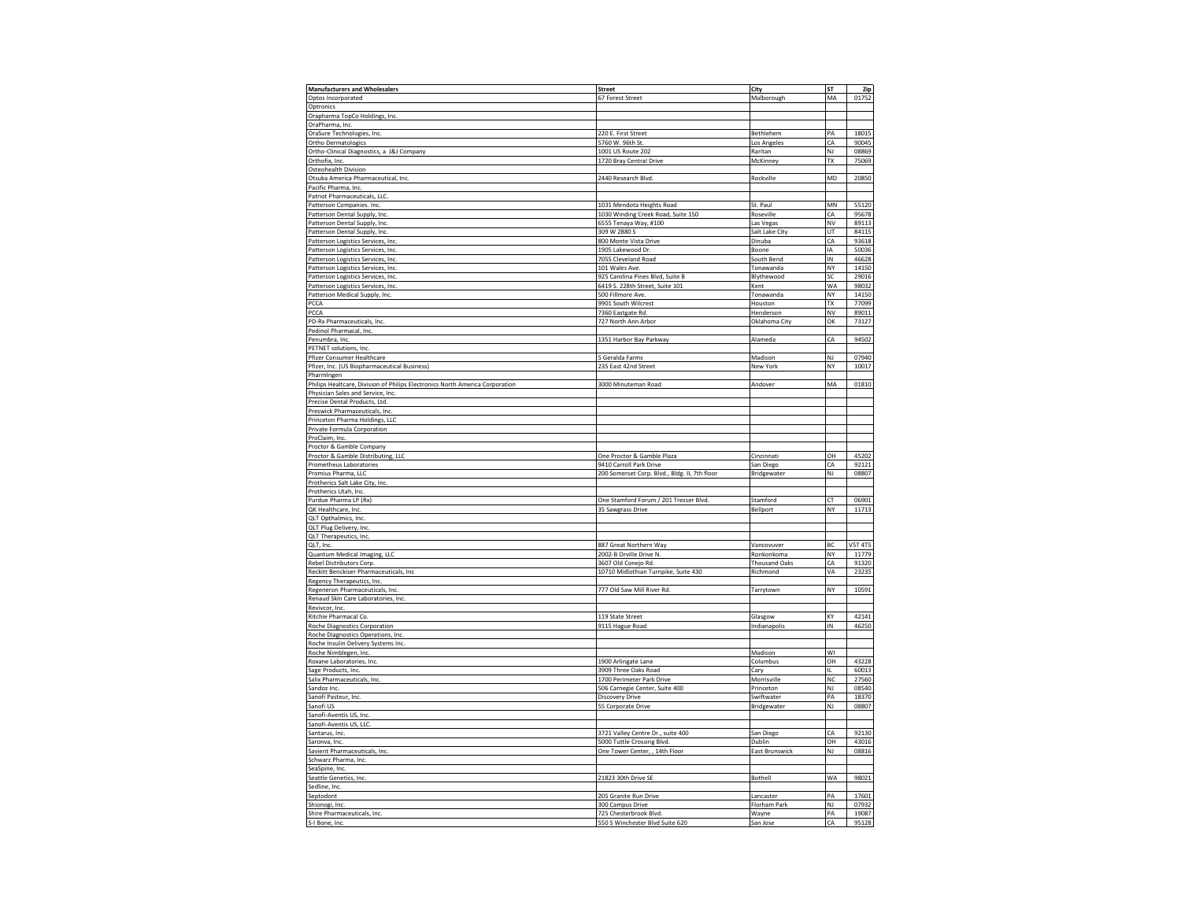| <b>Manufacturers and Wholesalers</b>                                         | <b>Street</b>                                             | City                  | ST                     | Zip            |
|------------------------------------------------------------------------------|-----------------------------------------------------------|-----------------------|------------------------|----------------|
|                                                                              |                                                           |                       |                        |                |
| Optos Incorporated                                                           | 67 Forest Street                                          | Malborough            | MA                     | 01752          |
| Optronics                                                                    |                                                           |                       |                        |                |
| Orapharma TopCo Holdings, Inc.                                               |                                                           |                       |                        |                |
|                                                                              |                                                           |                       |                        |                |
| OraPharma, Inc.                                                              |                                                           |                       |                        |                |
| OraSure Technologies, Inc.                                                   | 220 E. First Street                                       | Bethlehem             | PA                     | 18015          |
| Ortho Dermatologics                                                          | 5760 W. 96th St.                                          | Los Angeles           | CA                     | 90045          |
| Ortho-Clinical Diagnostics, a J&J Company                                    | 1001 US Route 202                                         | Raritan               | NJ                     | 08869          |
|                                                                              |                                                           |                       |                        |                |
| Orthofix, Inc.                                                               | 1720 Bray Central Drive                                   | McKinney              | TX                     | 75069          |
| Osteohealth Division                                                         |                                                           |                       |                        |                |
| Otsuka America Pharmaceutical, Inc.                                          | 2440 Research Blvd.                                       | Rockville             | MD                     | 20850          |
| Pacific Pharma, Inc.                                                         |                                                           |                       |                        |                |
|                                                                              |                                                           |                       |                        |                |
| Patriot Pharmaceuticals, LLC.                                                |                                                           |                       |                        |                |
| Patterson Companies. Inc.                                                    | 1031 Mendota Heights Road                                 | St. Paul              | $\mathsf{M}\mathsf{N}$ | 55120          |
| Patterson Dental Supply, Inc.                                                | 1030 Winding Creek Road, Suite 150                        | Roseville             | CA                     | 95678          |
| Patterson Dental Supply, Inc.                                                | 6555 Tenaya Way, #100                                     | Las Vegas             | NV                     | 89113          |
|                                                                              |                                                           |                       |                        |                |
| Patterson Dental Supply, Inc.                                                | 309 W 2880 S                                              | Salt Lake City        | UT                     | 84115          |
| Patterson Logistics Services, Inc.                                           | 800 Monte Vista Drive                                     | Dinuba                | CA                     | 93618          |
| Patterson Logistics Services, Inc.                                           | 1905 Lakewood Dr                                          | Boone                 | IA                     | 50036          |
|                                                                              |                                                           |                       |                        |                |
| Patterson Logistics Services, Inc.                                           | 7055 Cleveland Road                                       | South Bend            | IN                     | 46628          |
| Patterson Logistics Services, Inc.                                           | 101 Wales Ave.                                            | Tonawanda             | NY                     | 14150          |
| Patterson Logistics Services, Inc.                                           | 925 Carolina Pines Blvd, Suite B                          | Blythewood            | SC                     | 29016          |
| Patterson Logistics Services, Inc.                                           | 6419 S. 228th Street, Suite 101                           | Kent                  | <b>WA</b>              | 98032          |
|                                                                              |                                                           |                       |                        |                |
| Patterson Medical Supply, Inc.                                               | 500 Fillmore Ave.                                         | Tonawanda             | NY                     | 14150          |
| PCCA                                                                         | 9901 South Wilcrest                                       | Houston               | <b>TX</b>              | 77099          |
| PCCA                                                                         | 7360 Eastgate Rd.                                         | Henderson             | NV                     | 89011          |
|                                                                              |                                                           |                       | OK                     |                |
| PD-Rx Pharmaceuticals, Inc.                                                  | 727 North Ann Arbor                                       | Oklahoma City         |                        | 73127          |
| Pedinol Pharmacal, Inc.                                                      |                                                           |                       |                        |                |
| Penumbra, Inc.                                                               | 1351 Harbor Bay Parkway                                   | Alameda               | CA                     | 94502          |
| PETNET solutions, Inc.                                                       |                                                           |                       |                        |                |
|                                                                              |                                                           |                       |                        |                |
| Pfizer Consumer Healthcare                                                   | 5 Geralda Farms                                           | Madison               | NJ                     | 07940          |
| Pfizer, Inc. (US Biopharmaceutical Business)                                 | 235 East 42nd Street                                      | New York              | NY                     | 10017          |
| PharmIngen                                                                   |                                                           |                       |                        |                |
|                                                                              |                                                           |                       | MA                     |                |
| Philips Healtcare, Division of Philips Electronics North America Corporation | 3000 Minuteman Road                                       | Andover               |                        | 01810          |
| Physician Sales and Service, Inc                                             |                                                           |                       |                        |                |
| Precise Dental Products, Ltd.                                                |                                                           |                       |                        |                |
| Preswick Pharmaceuticals, Inc.                                               |                                                           |                       |                        |                |
|                                                                              |                                                           |                       |                        |                |
| Princeton Pharma Holdings, LLC                                               |                                                           |                       |                        |                |
| Private Formula Corporation                                                  |                                                           |                       |                        |                |
| ProClaim, Inc.                                                               |                                                           |                       |                        |                |
|                                                                              |                                                           |                       |                        |                |
| Proctor & Gamble Company                                                     |                                                           |                       |                        |                |
| Proctor & Gamble Distributing, LLC                                           | One Proctor & Gamble Plaza                                | Cincinnati            | OH                     | 45202          |
| Prometheus Laboratories                                                      | 9410 Carroll Park Drive                                   | San Diego             | CA                     | 92121          |
| Promius Pharma, LLC                                                          | 200 Somerset Corp. Blvd., Bldg. II, 7th floor             | Bridgewater           | NJ                     | 08807          |
|                                                                              |                                                           |                       |                        |                |
| Protherics Salt Lake City, Inc.                                              |                                                           |                       |                        |                |
| Protherics Utah, Inc.                                                        |                                                           |                       |                        |                |
| Purdue Pharma LP (Rx)                                                        | One Stamford Forum / 201 Tresser Blvd.                    | Stamford              | CT                     | 06901          |
| QK Healthcare, Inc.                                                          | 35 Sawgrass Drive                                         | Bellport              | NY                     | 11713          |
|                                                                              |                                                           |                       |                        |                |
| QLT Opthalmics, Inc.                                                         |                                                           |                       |                        |                |
| QLT Plug Delivery, Inc.                                                      |                                                           |                       |                        |                |
| QLT Therapeutics, Inc.                                                       |                                                           |                       |                        |                |
|                                                                              |                                                           |                       | BC                     | <b>V5T 4T5</b> |
| QLT, Inc.                                                                    | 887 Great Northern Way                                    | Vancovuver            |                        |                |
| Quantum Medical Imaging, LLC                                                 | 2002-B Orville Drive N.                                   | Ronkonkoma            | NY                     | 11779          |
| Rebel Distributors Corp.                                                     | 3607 Old Conejo Rd.                                       | <b>Thousand Oaks</b>  | CA                     | 91320          |
| Reckitt Benckiser Pharmaceuticals, Inc                                       | 10710 Midlothian Turnpike, Suite 430                      | Richmond              | VA                     | 23235          |
|                                                                              |                                                           |                       |                        |                |
| Regency Therapeutics, Inc.                                                   |                                                           |                       |                        |                |
| Regeneron Pharmaceuticals, Inc.                                              | 777 Old Saw Mill River Rd.                                | Tarrytown             | NY                     | 10591          |
| Renaud Skin Care Laboratories, Inc.                                          |                                                           |                       |                        |                |
| Revivcor, Inc.                                                               |                                                           |                       |                        |                |
|                                                                              | 119 State Street                                          |                       | KY                     | 42141          |
| Ritchie Pharmacal Co.                                                        |                                                           | Glasgow               |                        |                |
| Roche Diagnostics Corporation                                                | 9115 Hague Road                                           | Indianapolis          | IN                     | 46250          |
| Roche Diagnostics Operations, Inc.                                           |                                                           |                       |                        |                |
| Roche Insulin Delivery Systems Inc.                                          |                                                           |                       |                        |                |
|                                                                              |                                                           |                       | WI                     |                |
| Roche Nimblegen, Inc.                                                        |                                                           | Madison               |                        |                |
| Roxane Laboratories, Inc.                                                    |                                                           |                       | OH                     | 43228          |
|                                                                              | 1900 Arlingate Lane                                       | Columbus              |                        |                |
|                                                                              |                                                           |                       | IL                     | 60013          |
| Sage Products, Inc.                                                          | 3909 Three Oaks Road                                      | Cary                  | N <sub>C</sub>         | 27560          |
| Salix Pharmaceuticals, Inc.                                                  | 1700 Perimeter Park Drive                                 | Morrisville           |                        |                |
| Sandoz Inc.                                                                  | 506 Carnegie Center, Suite 400                            | Princeton             | NJ                     | 08540          |
| Sanofi Pasteur, Inc.                                                         | Discovery Drive                                           | Swiftwater            | PA                     | 18370          |
|                                                                              |                                                           |                       |                        |                |
| Sanofi US                                                                    | 55 Corporate Drive                                        | Bridgewater           | NJ                     | 08807          |
| Sanofi-Aventis US, Inc.                                                      |                                                           |                       |                        |                |
| Sanofi-Aventis US, LLC                                                       |                                                           |                       |                        |                |
| Santarus, Inc.                                                               | 3721 Valley Centre Dr., suite 400                         |                       | CA                     | 92130          |
|                                                                              |                                                           | San Diego             |                        |                |
| Saronva, Inc.                                                                | 5000 Tuttle Crossing Blvd.                                | Dublin                | OH                     | 43016          |
| Savient Pharmaceuticals, Inc.                                                | One Tower Center, , 14th Floor                            | <b>East Brunswick</b> | NJ                     | 08816          |
| Schwarz Pharma, Inc.                                                         |                                                           |                       |                        |                |
|                                                                              |                                                           |                       |                        |                |
| SeaSpine, Inc.                                                               |                                                           |                       |                        |                |
| Seattle Genetics, Inc.                                                       | 21823 30th Drive SE                                       | Bothell               | WA                     | 98021          |
| Sedline, Inc.                                                                |                                                           |                       |                        |                |
| Septodont                                                                    | 205 Granite Run Drive                                     | Lancaster             | PA                     | 17601          |
|                                                                              |                                                           |                       |                        |                |
| Shionogi, Inc.                                                               | 300 Campus Drive                                          | Florham Park          | NJ                     | 07932          |
| Shire Pharmaceuticals, Inc.<br>S-I Bone, Inc.                                | 725 Chesterbrook Blvd.<br>550 S Winchester Blvd Suite 620 | Wavne<br>San Jose     | PA<br>CA               | 19087<br>95128 |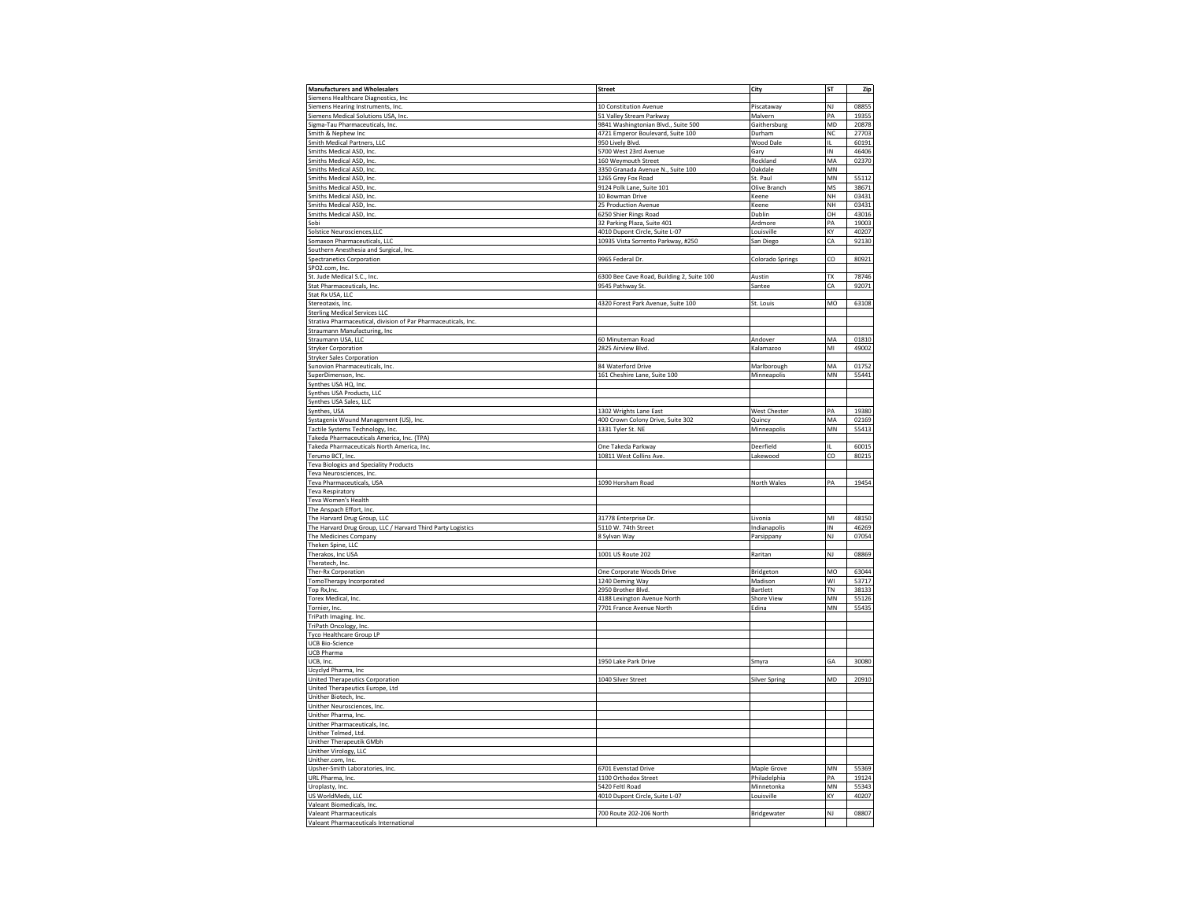| <b>Manufacturers and Wholesalers</b>                                                                                                                                                                                                                                                                                                                                                                                                                                                                                                                                                                                                                                                                                                                                                              | <b>Street</b>                             | <b>City</b>             | ST                     | Zip   |
|---------------------------------------------------------------------------------------------------------------------------------------------------------------------------------------------------------------------------------------------------------------------------------------------------------------------------------------------------------------------------------------------------------------------------------------------------------------------------------------------------------------------------------------------------------------------------------------------------------------------------------------------------------------------------------------------------------------------------------------------------------------------------------------------------|-------------------------------------------|-------------------------|------------------------|-------|
| Siemens Healthcare Diagnostics, Inc.                                                                                                                                                                                                                                                                                                                                                                                                                                                                                                                                                                                                                                                                                                                                                              |                                           |                         |                        |       |
| Siemens Hearing Instruments, Inc.                                                                                                                                                                                                                                                                                                                                                                                                                                                                                                                                                                                                                                                                                                                                                                 | 10 Constitution Avenue                    | Piscataway              | NJ                     | 08855 |
| Siemens Medical Solutions USA, Inc.                                                                                                                                                                                                                                                                                                                                                                                                                                                                                                                                                                                                                                                                                                                                                               | 51 Valley Stream Parkway                  | Malvern                 | PA                     | 19355 |
|                                                                                                                                                                                                                                                                                                                                                                                                                                                                                                                                                                                                                                                                                                                                                                                                   |                                           | Gaithersburg            | MD                     |       |
| Sigma-Tau Pharmaceuticals, Inc.                                                                                                                                                                                                                                                                                                                                                                                                                                                                                                                                                                                                                                                                                                                                                                   | 9841 Washingtonian Blvd., Suite 500       |                         |                        | 20878 |
| Smith & Nephew Inc.                                                                                                                                                                                                                                                                                                                                                                                                                                                                                                                                                                                                                                                                                                                                                                               | 4721 Emperor Boulevard, Suite 100         | Durham                  | <b>NC</b>              | 27703 |
| <b>Smith Medical Partners, LLC</b>                                                                                                                                                                                                                                                                                                                                                                                                                                                                                                                                                                                                                                                                                                                                                                | 950 Lively Blvd.                          | Wood Dale               | IL.                    | 60191 |
| Smiths Medical ASD, Inc.                                                                                                                                                                                                                                                                                                                                                                                                                                                                                                                                                                                                                                                                                                                                                                          | 5700 West 23rd Avenue                     | Gary                    | IN                     | 46406 |
| Smiths Medical ASD, Inc.                                                                                                                                                                                                                                                                                                                                                                                                                                                                                                                                                                                                                                                                                                                                                                          | 160 Weymouth Street                       | Rockland                | MA                     | 02370 |
|                                                                                                                                                                                                                                                                                                                                                                                                                                                                                                                                                                                                                                                                                                                                                                                                   |                                           |                         |                        |       |
| Smiths Medical ASD, Inc.                                                                                                                                                                                                                                                                                                                                                                                                                                                                                                                                                                                                                                                                                                                                                                          | 3350 Granada Avenue N., Suite 100         | Oakdale                 | MN                     |       |
| Smiths Medical ASD, Inc.                                                                                                                                                                                                                                                                                                                                                                                                                                                                                                                                                                                                                                                                                                                                                                          | 1265 Grey Fox Road                        | St. Paul                | $\mathsf{M}\mathsf{N}$ | 55112 |
| Smiths Medical ASD, Inc.                                                                                                                                                                                                                                                                                                                                                                                                                                                                                                                                                                                                                                                                                                                                                                          | 9124 Polk Lane, Suite 101                 | Olive Branch            | MS                     | 38671 |
| Smiths Medical ASD, Inc.                                                                                                                                                                                                                                                                                                                                                                                                                                                                                                                                                                                                                                                                                                                                                                          | 10 Bowman Drive                           | Keene                   | NH                     | 03431 |
|                                                                                                                                                                                                                                                                                                                                                                                                                                                                                                                                                                                                                                                                                                                                                                                                   |                                           |                         |                        |       |
| Smiths Medical ASD, Inc.                                                                                                                                                                                                                                                                                                                                                                                                                                                                                                                                                                                                                                                                                                                                                                          | 25 Production Avenue                      | Keene                   | NH                     | 03431 |
| Smiths Medical ASD, Inc.                                                                                                                                                                                                                                                                                                                                                                                                                                                                                                                                                                                                                                                                                                                                                                          | 6250 Shier Rings Road                     | Dublin                  | OH                     | 43016 |
| Sobi                                                                                                                                                                                                                                                                                                                                                                                                                                                                                                                                                                                                                                                                                                                                                                                              | 32 Parking Plaza, Suite 401               | Ardmore                 | PA                     | 19003 |
|                                                                                                                                                                                                                                                                                                                                                                                                                                                                                                                                                                                                                                                                                                                                                                                                   |                                           |                         |                        |       |
| Solstice Neurosciences, LLC                                                                                                                                                                                                                                                                                                                                                                                                                                                                                                                                                                                                                                                                                                                                                                       | 4010 Dupont Circle, Suite L-07            | Louisville              | KY                     | 40207 |
| Somaxon Pharmaceuticals, LLC                                                                                                                                                                                                                                                                                                                                                                                                                                                                                                                                                                                                                                                                                                                                                                      | 10935 Vista Sorrento Parkway, #250        | San Diego               | CA                     | 92130 |
| Southern Anesthesia and Surgical, Inc.                                                                                                                                                                                                                                                                                                                                                                                                                                                                                                                                                                                                                                                                                                                                                            |                                           |                         |                        |       |
| <b>Spectranetics Corporation</b>                                                                                                                                                                                                                                                                                                                                                                                                                                                                                                                                                                                                                                                                                                                                                                  | 9965 Federal Dr.                          | <b>Colorado Springs</b> | co                     | 80921 |
|                                                                                                                                                                                                                                                                                                                                                                                                                                                                                                                                                                                                                                                                                                                                                                                                   |                                           |                         |                        |       |
| SPO2.com, Inc.                                                                                                                                                                                                                                                                                                                                                                                                                                                                                                                                                                                                                                                                                                                                                                                    |                                           |                         |                        |       |
| St. Jude Medical S.C., Inc.                                                                                                                                                                                                                                                                                                                                                                                                                                                                                                                                                                                                                                                                                                                                                                       | 6300 Bee Cave Road, Building 2, Suite 100 | Austin                  | TX                     | 78746 |
| Stat Pharmaceuticals, Inc                                                                                                                                                                                                                                                                                                                                                                                                                                                                                                                                                                                                                                                                                                                                                                         | 9545 Pathway St                           | Santee                  | CA                     | 92071 |
| Stat Rx USA, LLC                                                                                                                                                                                                                                                                                                                                                                                                                                                                                                                                                                                                                                                                                                                                                                                  |                                           |                         |                        |       |
|                                                                                                                                                                                                                                                                                                                                                                                                                                                                                                                                                                                                                                                                                                                                                                                                   |                                           |                         |                        |       |
| Stereotaxis, Inc.                                                                                                                                                                                                                                                                                                                                                                                                                                                                                                                                                                                                                                                                                                                                                                                 | 4320 Forest Park Avenue, Suite 100        | St. Louis               | MO                     | 63108 |
| <b>Sterling Medical Services LLC</b>                                                                                                                                                                                                                                                                                                                                                                                                                                                                                                                                                                                                                                                                                                                                                              |                                           |                         |                        |       |
| Strativa Pharmaceutical, division of Par Pharmaceuticals, Inc.                                                                                                                                                                                                                                                                                                                                                                                                                                                                                                                                                                                                                                                                                                                                    |                                           |                         |                        |       |
|                                                                                                                                                                                                                                                                                                                                                                                                                                                                                                                                                                                                                                                                                                                                                                                                   |                                           |                         |                        |       |
| Straumann Manufacturing, Inc.                                                                                                                                                                                                                                                                                                                                                                                                                                                                                                                                                                                                                                                                                                                                                                     |                                           |                         |                        |       |
| Straumann USA, LLC                                                                                                                                                                                                                                                                                                                                                                                                                                                                                                                                                                                                                                                                                                                                                                                | 60 Minuteman Road                         | Andover                 | MA                     | 01810 |
| <b>Stryker Corporation</b>                                                                                                                                                                                                                                                                                                                                                                                                                                                                                                                                                                                                                                                                                                                                                                        | 2825 Airview Blvd                         | Kalamazoo               | MI                     | 49002 |
| <b>Stryker Sales Corporation</b>                                                                                                                                                                                                                                                                                                                                                                                                                                                                                                                                                                                                                                                                                                                                                                  |                                           |                         |                        |       |
|                                                                                                                                                                                                                                                                                                                                                                                                                                                                                                                                                                                                                                                                                                                                                                                                   |                                           |                         |                        |       |
| Sunovion Pharmaceuticals, Inc.                                                                                                                                                                                                                                                                                                                                                                                                                                                                                                                                                                                                                                                                                                                                                                    | 84 Waterford Drive                        | Marlborough             | MA                     | 01752 |
| SuperDimenson, Inc.                                                                                                                                                                                                                                                                                                                                                                                                                                                                                                                                                                                                                                                                                                                                                                               | 161 Cheshire Lane, Suite 100              | Minneapolis             | MN                     | 55441 |
| Synthes USA HQ, Inc.                                                                                                                                                                                                                                                                                                                                                                                                                                                                                                                                                                                                                                                                                                                                                                              |                                           |                         |                        |       |
|                                                                                                                                                                                                                                                                                                                                                                                                                                                                                                                                                                                                                                                                                                                                                                                                   |                                           |                         |                        |       |
| Synthes USA Products, LLC                                                                                                                                                                                                                                                                                                                                                                                                                                                                                                                                                                                                                                                                                                                                                                         |                                           |                         |                        |       |
| Synthes USA Sales, LLC                                                                                                                                                                                                                                                                                                                                                                                                                                                                                                                                                                                                                                                                                                                                                                            |                                           |                         |                        |       |
| Synthes, USA                                                                                                                                                                                                                                                                                                                                                                                                                                                                                                                                                                                                                                                                                                                                                                                      | 1302 Wrights Lane East                    | <b>West Chester</b>     | PA                     | 19380 |
|                                                                                                                                                                                                                                                                                                                                                                                                                                                                                                                                                                                                                                                                                                                                                                                                   |                                           |                         | MA                     | 02169 |
| Systagenix Wound Management (US), Inc.                                                                                                                                                                                                                                                                                                                                                                                                                                                                                                                                                                                                                                                                                                                                                            | 400 Crown Colony Drive, Suite 302         | Quincy                  |                        |       |
| Tactile Systems Technology, Inc.                                                                                                                                                                                                                                                                                                                                                                                                                                                                                                                                                                                                                                                                                                                                                                  | 1331 Tyler St. NE                         | Minneapolis             | $\mathsf{M}\mathsf{N}$ | 55413 |
| Takeda Pharmaceuticals America, Inc. (TPA)                                                                                                                                                                                                                                                                                                                                                                                                                                                                                                                                                                                                                                                                                                                                                        |                                           |                         |                        |       |
| Takeda Pharmaceuticals North America, Inc.                                                                                                                                                                                                                                                                                                                                                                                                                                                                                                                                                                                                                                                                                                                                                        | One Takeda Parkway                        | Deerfield               | IL.                    | 60015 |
|                                                                                                                                                                                                                                                                                                                                                                                                                                                                                                                                                                                                                                                                                                                                                                                                   |                                           |                         |                        |       |
| Terumo BCT, Inc.                                                                                                                                                                                                                                                                                                                                                                                                                                                                                                                                                                                                                                                                                                                                                                                  | 10811 West Collins Ave.                   | Lakewood                | co                     | 80215 |
| <b>Teva Biologics and Speciality Products</b>                                                                                                                                                                                                                                                                                                                                                                                                                                                                                                                                                                                                                                                                                                                                                     |                                           |                         |                        |       |
| Teva Neurosciences, Inc.                                                                                                                                                                                                                                                                                                                                                                                                                                                                                                                                                                                                                                                                                                                                                                          |                                           |                         |                        |       |
| <b>Teva Pharmaceuticals, USA</b>                                                                                                                                                                                                                                                                                                                                                                                                                                                                                                                                                                                                                                                                                                                                                                  | 1090 Horsham Road                         | North Wales             | PA                     | 19454 |
|                                                                                                                                                                                                                                                                                                                                                                                                                                                                                                                                                                                                                                                                                                                                                                                                   |                                           |                         |                        |       |
| <b>Teva Respiratory</b>                                                                                                                                                                                                                                                                                                                                                                                                                                                                                                                                                                                                                                                                                                                                                                           |                                           |                         |                        |       |
| Teva Women's Health                                                                                                                                                                                                                                                                                                                                                                                                                                                                                                                                                                                                                                                                                                                                                                               |                                           |                         |                        |       |
| The Anspach Effort, Inc.                                                                                                                                                                                                                                                                                                                                                                                                                                                                                                                                                                                                                                                                                                                                                                          |                                           |                         |                        |       |
| The Harvard Drug Group, LLC                                                                                                                                                                                                                                                                                                                                                                                                                                                                                                                                                                                                                                                                                                                                                                       | 31778 Enterprise Dr                       | Livonia                 | MI                     | 48150 |
|                                                                                                                                                                                                                                                                                                                                                                                                                                                                                                                                                                                                                                                                                                                                                                                                   |                                           |                         |                        |       |
|                                                                                                                                                                                                                                                                                                                                                                                                                                                                                                                                                                                                                                                                                                                                                                                                   |                                           |                         |                        |       |
|                                                                                                                                                                                                                                                                                                                                                                                                                                                                                                                                                                                                                                                                                                                                                                                                   | 5110 W. 74th Street                       | Indianapolis            | IN                     | 46269 |
|                                                                                                                                                                                                                                                                                                                                                                                                                                                                                                                                                                                                                                                                                                                                                                                                   |                                           |                         | NJ                     |       |
|                                                                                                                                                                                                                                                                                                                                                                                                                                                                                                                                                                                                                                                                                                                                                                                                   | 8 Sylvan Way                              | Parsippany              |                        | 07054 |
|                                                                                                                                                                                                                                                                                                                                                                                                                                                                                                                                                                                                                                                                                                                                                                                                   |                                           |                         |                        |       |
|                                                                                                                                                                                                                                                                                                                                                                                                                                                                                                                                                                                                                                                                                                                                                                                                   | 1001 US Route 202                         | Raritan                 | NJ                     | 08869 |
|                                                                                                                                                                                                                                                                                                                                                                                                                                                                                                                                                                                                                                                                                                                                                                                                   |                                           |                         |                        |       |
|                                                                                                                                                                                                                                                                                                                                                                                                                                                                                                                                                                                                                                                                                                                                                                                                   |                                           |                         |                        |       |
|                                                                                                                                                                                                                                                                                                                                                                                                                                                                                                                                                                                                                                                                                                                                                                                                   | One Corporate Woods Drive                 | Bridgeton               | MO                     | 63044 |
|                                                                                                                                                                                                                                                                                                                                                                                                                                                                                                                                                                                                                                                                                                                                                                                                   | 1240 Deming Way                           | Madison                 | WI                     | 53717 |
|                                                                                                                                                                                                                                                                                                                                                                                                                                                                                                                                                                                                                                                                                                                                                                                                   | 2950 Brother Blvd.                        | Bartlett                | <b>TN</b>              | 38133 |
|                                                                                                                                                                                                                                                                                                                                                                                                                                                                                                                                                                                                                                                                                                                                                                                                   | 4188 Lexington Avenue North               | Shore View              | ΜN                     | 55126 |
|                                                                                                                                                                                                                                                                                                                                                                                                                                                                                                                                                                                                                                                                                                                                                                                                   |                                           |                         |                        |       |
|                                                                                                                                                                                                                                                                                                                                                                                                                                                                                                                                                                                                                                                                                                                                                                                                   | 7701 France Avenue North                  | Edina                   | $\mathsf{M}\mathsf{N}$ | 55435 |
|                                                                                                                                                                                                                                                                                                                                                                                                                                                                                                                                                                                                                                                                                                                                                                                                   |                                           |                         |                        |       |
|                                                                                                                                                                                                                                                                                                                                                                                                                                                                                                                                                                                                                                                                                                                                                                                                   |                                           |                         |                        |       |
|                                                                                                                                                                                                                                                                                                                                                                                                                                                                                                                                                                                                                                                                                                                                                                                                   |                                           |                         |                        |       |
|                                                                                                                                                                                                                                                                                                                                                                                                                                                                                                                                                                                                                                                                                                                                                                                                   |                                           |                         |                        |       |
|                                                                                                                                                                                                                                                                                                                                                                                                                                                                                                                                                                                                                                                                                                                                                                                                   |                                           |                         |                        |       |
|                                                                                                                                                                                                                                                                                                                                                                                                                                                                                                                                                                                                                                                                                                                                                                                                   |                                           |                         |                        |       |
|                                                                                                                                                                                                                                                                                                                                                                                                                                                                                                                                                                                                                                                                                                                                                                                                   | 1950 Lake Park Drive                      | Smyra                   | GA                     | 30080 |
|                                                                                                                                                                                                                                                                                                                                                                                                                                                                                                                                                                                                                                                                                                                                                                                                   |                                           |                         |                        |       |
|                                                                                                                                                                                                                                                                                                                                                                                                                                                                                                                                                                                                                                                                                                                                                                                                   |                                           |                         |                        |       |
|                                                                                                                                                                                                                                                                                                                                                                                                                                                                                                                                                                                                                                                                                                                                                                                                   | 1040 Silver Street                        | <b>Silver Spring</b>    | MD                     | 20910 |
|                                                                                                                                                                                                                                                                                                                                                                                                                                                                                                                                                                                                                                                                                                                                                                                                   |                                           |                         |                        |       |
|                                                                                                                                                                                                                                                                                                                                                                                                                                                                                                                                                                                                                                                                                                                                                                                                   |                                           |                         |                        |       |
|                                                                                                                                                                                                                                                                                                                                                                                                                                                                                                                                                                                                                                                                                                                                                                                                   |                                           |                         |                        |       |
|                                                                                                                                                                                                                                                                                                                                                                                                                                                                                                                                                                                                                                                                                                                                                                                                   |                                           |                         |                        |       |
|                                                                                                                                                                                                                                                                                                                                                                                                                                                                                                                                                                                                                                                                                                                                                                                                   |                                           |                         |                        |       |
|                                                                                                                                                                                                                                                                                                                                                                                                                                                                                                                                                                                                                                                                                                                                                                                                   |                                           |                         |                        |       |
|                                                                                                                                                                                                                                                                                                                                                                                                                                                                                                                                                                                                                                                                                                                                                                                                   |                                           |                         |                        |       |
|                                                                                                                                                                                                                                                                                                                                                                                                                                                                                                                                                                                                                                                                                                                                                                                                   |                                           |                         |                        |       |
|                                                                                                                                                                                                                                                                                                                                                                                                                                                                                                                                                                                                                                                                                                                                                                                                   |                                           |                         |                        |       |
|                                                                                                                                                                                                                                                                                                                                                                                                                                                                                                                                                                                                                                                                                                                                                                                                   |                                           |                         |                        |       |
|                                                                                                                                                                                                                                                                                                                                                                                                                                                                                                                                                                                                                                                                                                                                                                                                   |                                           |                         |                        |       |
|                                                                                                                                                                                                                                                                                                                                                                                                                                                                                                                                                                                                                                                                                                                                                                                                   |                                           |                         |                        |       |
|                                                                                                                                                                                                                                                                                                                                                                                                                                                                                                                                                                                                                                                                                                                                                                                                   | 6701 Evenstad Drive                       | Maple Grove             | MN                     | 55369 |
|                                                                                                                                                                                                                                                                                                                                                                                                                                                                                                                                                                                                                                                                                                                                                                                                   | 1100 Orthodox Street                      | Philadelphia            | PA                     | 19124 |
|                                                                                                                                                                                                                                                                                                                                                                                                                                                                                                                                                                                                                                                                                                                                                                                                   | 5420 Feltl Road                           | Minnetonka              | MN                     | 55343 |
| The Harvard Drug Group, LLC / Harvard Third Party Logistics<br>The Medicines Company<br>Theken Spine, LLC<br>Therakos, Inc USA<br>Theratech, Inc.<br>Ther-Rx Corporation<br>TomoTherapy Incorporated<br>Top Rx, Inc.<br>Torex Medical, Inc.<br>Tornier, Inc.<br>TriPath Imaging. Inc.<br>TriPath Oncology, Inc.<br>Tyco Healthcare Group LP<br><b>UCB Bio-Science</b><br><b>UCB Pharma</b><br>UCB, Inc.<br>Ucyclyd Pharma, Inc<br>United Therapeutics Corporation<br>United Therapeutics Europe, Ltd<br>Unither Biotech, Inc.<br>Unither Neurosciences, Inc.<br>Unither Pharma, Inc.<br>Unither Pharmaceuticals, Inc.<br>Unither Telmed, Ltd.<br>Unither Therapeutik GMbh<br>Unither Virology, LLC<br>Unither.com, Inc.<br>Upsher-Smith Laboratories, Inc.<br>URL Pharma, Inc.<br>Uroplasty, Inc. |                                           |                         |                        |       |
| US WorldMeds, LLC                                                                                                                                                                                                                                                                                                                                                                                                                                                                                                                                                                                                                                                                                                                                                                                 | 4010 Dupont Circle, Suite L-07            | Louisville              | KY                     | 40207 |
| Valeant Biomedicals, Inc.                                                                                                                                                                                                                                                                                                                                                                                                                                                                                                                                                                                                                                                                                                                                                                         |                                           |                         |                        |       |
| <b>Valeant Pharmaceuticals</b><br>Valeant Pharmaceuticals International                                                                                                                                                                                                                                                                                                                                                                                                                                                                                                                                                                                                                                                                                                                           | 700 Route 202-206 North                   | Bridgewater             | ΝI                     | 08807 |